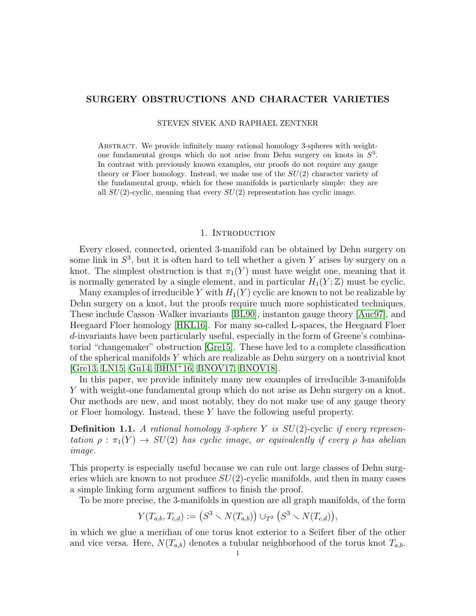# SURGERY OBSTRUCTIONS AND CHARACTER VARIETIES

STEVEN SIVEK AND RAPHAEL ZENTNER

Abstract. We provide infinitely many rational homology 3-spheres with weightone fundamental groups which do not arise from Dehn surgery on knots in  $S<sup>3</sup>$ . In contrast with previously known examples, our proofs do not require any gauge theory or Floer homology. Instead, we make use of the  $SU(2)$  character variety of the fundamental group, which for these manifolds is particularly simple: they are all  $SU(2)$ -cyclic, meaning that every  $SU(2)$  representation has cyclic image.

#### 1. Introduction

Every closed, connected, oriented 3-manifold can be obtained by Dehn surgery on some link in  $S^3$ , but it is often hard to tell whether a given Y arises by surgery on a knot. The simplest obstruction is that  $\pi_1(Y)$  must have weight one, meaning that it is normally generated by a single element, and in particular  $H_1(Y; \mathbb{Z})$  must be cyclic.

Many examples of irreducible Y with  $H_1(Y)$  cyclic are known to not be realizable by Dehn surgery on a knot, but the proofs require much more sophisticated techniques. These include Casson–Walker invariants [\[BL90\]](#page-28-0), instanton gauge theory [\[Auc97\]](#page-28-1), and Heegaard Floer homology [\[HKL16\]](#page-28-2). For many so-called L-spaces, the Heegaard Floer d-invariants have been particularly useful, especially in the form of Greene's combinatorial "changemaker" obstruction [\[Gre15\]](#page-28-3). These have led to a complete classification of the spherical manifolds Y which are realizable as Dehn surgery on a nontrivial knot [\[Gre13,](#page-28-4) [LN15,](#page-28-5) [Gu14,](#page-28-6) [BHM](#page-28-7)<sup>+</sup>16, [BNOV17,](#page-28-8) [BNOV18\]](#page-28-9).

In this paper, we provide infinitely many new examples of irreducible 3-manifolds Y with weight-one fundamental group which do not arise as Dehn surgery on a knot. Our methods are new, and most notably, they do not make use of any gauge theory or Floer homology. Instead, these  $Y$  have the following useful property.

**Definition 1.1.** A rational homology 3-sphere Y is  $SU(2)$ -cyclic if every representation  $\rho : \pi_1(Y) \to SU(2)$  has cyclic image, or equivalently if every  $\rho$  has abelian image.

This property is especially useful because we can rule out large classes of Dehn surgeries which are known to not produce  $SU(2)$ -cyclic manifolds, and then in many cases a simple linking form argument suffices to finish the proof.

To be more precise, the 3-manifolds in question are all graph manifolds, of the form

$$
Y(T_{a,b}, T_{c,d}) := (S^3 \setminus N(T_{a,b})) \cup_{T^2} (S^3 \setminus N(T_{c,d})),
$$

in which we glue a meridian of one torus knot exterior to a Seifert fiber of the other and vice versa. Here,  $N(T_{a,b})$  denotes a tubular neighborhood of the torus knot  $T_{a,b}$ .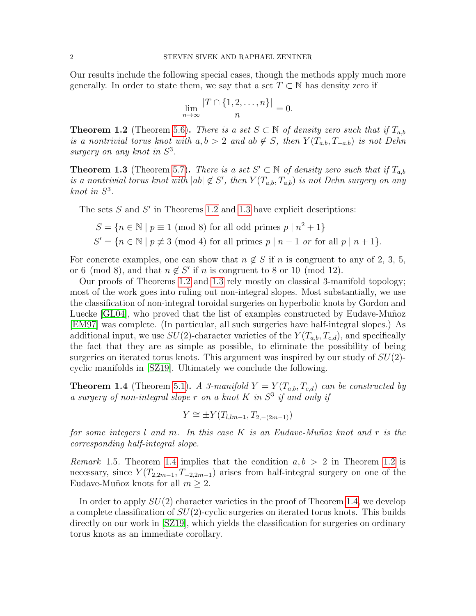Our results include the following special cases, though the methods apply much more generally. In order to state them, we say that a set  $T \subset \mathbb{N}$  has density zero if

$$
\lim_{n \to \infty} \frac{|T \cap \{1, 2, \dots, n\}|}{n} = 0.
$$

<span id="page-1-0"></span>**Theorem 1.2** (Theorem [5.6\)](#page-19-0). There is a set  $S \subset \mathbb{N}$  of density zero such that if  $T_{a,b}$ is a nontrivial torus knot with  $a, b > 2$  and  $ab \notin S$ , then  $Y(T_{a,b}, T_{-a,b})$  is not Dehn surgery on any knot in  $S^3$ .

<span id="page-1-1"></span>**Theorem 1.3** (Theorem [5.7\)](#page-20-0). There is a set  $S' \subset \mathbb{N}$  of density zero such that if  $T_{a,b}$ is a nontrivial torus knot with  $|ab| \notin S'$ , then  $Y(T_{a,b}, T_{a,b})$  is not Dehn surgery on any knot in  $S^3$ .

The sets  $S$  and  $S'$  in Theorems [1.2](#page-1-0) and [1.3](#page-1-1) have explicit descriptions:

$$
S = \{ n \in \mathbb{N} \mid p \equiv 1 \pmod{8} \text{ for all odd primes } p \mid n^2 + 1 \}
$$
  

$$
S' = \{ n \in \mathbb{N} \mid p \not\equiv 3 \pmod{4} \text{ for all primes } p \mid n - 1 \text{ or for all } p \mid n + 1 \}.
$$

For concrete examples, one can show that  $n \notin S$  if n is congruent to any of 2, 3, 5, or 6 (mod 8), and that  $n \notin S'$  if n is congruent to 8 or 10 (mod 12).

Our proofs of Theorems [1.2](#page-1-0) and [1.3](#page-1-1) rely mostly on classical 3-manifold topology; most of the work goes into ruling out non-integral slopes. Most substantially, we use the classification of non-integral toroidal surgeries on hyperbolic knots by Gordon and Luecke [\[GL04\]](#page-28-10), who proved that the list of examples constructed by Eudave-Muñoz [\[EM97\]](#page-28-11) was complete. (In particular, all such surgeries have half-integral slopes.) As additional input, we use  $SU(2)$ -character varieties of the  $Y(T_{a,b}, T_{c,d})$ , and specifically the fact that they are as simple as possible, to eliminate the possibility of being surgeries on iterated torus knots. This argument was inspired by our study of  $SU(2)$ cyclic manifolds in [\[SZ19\]](#page-29-0). Ultimately we conclude the following.

<span id="page-1-2"></span>**Theorem 1.4** (Theorem [5.1\)](#page-17-0). A 3-manifold  $Y = Y(T_{a,b}, T_{c,d})$  can be constructed by a surgery of non-integral slope  $r$  on a knot  $K$  in  $S<sup>3</sup>$  if and only if

$$
Y \cong \pm Y(T_{l,lm-1}, T_{2,-(2m-1)})
$$

for some integers l and m. In this case K is an Eudave-Muñoz knot and r is the corresponding half-integral slope.

*Remark* 1.5. Theorem [1.4](#page-1-2) implies that the condition  $a, b > 2$  in Theorem [1.2](#page-1-0) is necessary, since  $Y(T_{2,2m-1}, T_{-2,2m-1})$  arises from half-integral surgery on one of the Eudave-Muñoz knots for all  $m \geq 2$ .

In order to apply  $SU(2)$  character varieties in the proof of Theorem [1.4,](#page-1-2) we develop a complete classification of  $SU(2)$ -cyclic surgeries on iterated torus knots. This builds directly on our work in [\[SZ19\]](#page-29-0), which yields the classification for surgeries on ordinary torus knots as an immediate corollary.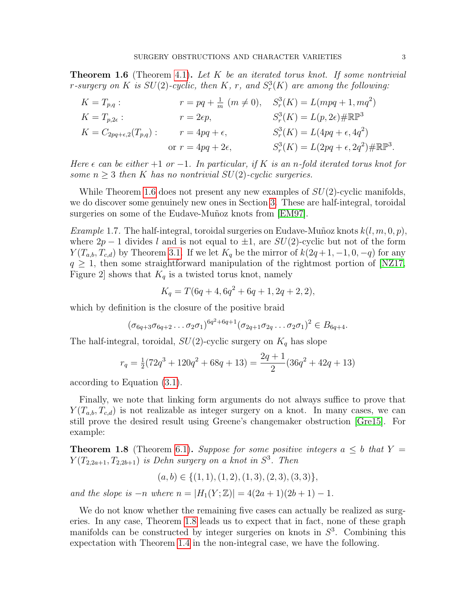<span id="page-2-0"></span>**Theorem 1.6** (Theorem [4.1\)](#page-11-0). Let K be an iterated torus knot. If some nontrivial r-surgery on K is  $SU(2)$ -cyclic, then K, r, and  $S_r^3(K)$  are among the following:

$$
K = T_{p,q} : \t r = pq + \frac{1}{m} (m \neq 0), \t S_r^3(K) = L(mpq + 1, mq^2)
$$
  
\n
$$
K = T_{p,2\epsilon} : \t r = 2\epsilon p, \t S_r^3(K) = L(p, 2\epsilon) \# \mathbb{RP}^3
$$
  
\n
$$
K = C_{2pq + \epsilon,2}(T_{p,q}) : \t r = 4pq + \epsilon, \t S_r^3(K) = L(4pq + \epsilon, 4q^2)
$$
  
\nor  $r = 4pq + 2\epsilon, \t S_r^3(K) = L(2pq + \epsilon, 2q^2) \# \mathbb{RP}^3.$ 

Here  $\epsilon$  can be either +1 or -1. In particular, if K is an n-fold iterated torus knot for some  $n \geq 3$  then K has no nontrivial SU(2)-cyclic surgeries.

While Theorem [1.6](#page-2-0) does not present any new examples of  $SU(2)$ -cyclic manifolds, we do discover some genuinely new ones in Section [3.](#page-5-0) These are half-integral, toroidal surgeries on some of the Eudave-Muñoz knots from [\[EM97\]](#page-28-11).

*Example* 1.7. The half-integral, toroidal surgeries on Eudave-Muñoz knots  $k(l, m, 0, p)$ , where  $2p-1$  divides l and is not equal to  $\pm 1$ , are  $SU(2)$ -cyclic but not of the form  $Y(T_{a,b}, T_{c,d})$  by Theorem [3.1.](#page-6-0) If we let  $K_q$  be the mirror of  $k(2q+1, -1, 0, -q)$  for any  $q \geq 1$ , then some straightforward manipulation of the rightmost portion of [\[NZ17,](#page-28-12) Figure 2 shows that  $K_q$  is a twisted torus knot, namely

$$
K_q = T(6q + 4, 6q^2 + 6q + 1, 2q + 2, 2),
$$

which by definition is the closure of the positive braid

$$
(\sigma_{6q+3}\sigma_{6q+2}\ldots\sigma_2\sigma_1)^{6q^2+6q+1}(\sigma_{2q+1}\sigma_{2q}\ldots\sigma_2\sigma_1)^2 \in B_{6q+4}.
$$

The half-integral, toroidal,  $SU(2)$ -cyclic surgery on  $K_q$  has slope

$$
r_q = \frac{1}{2}(72q^3 + 120q^2 + 68q + 13) = \frac{2q+1}{2}(36q^2 + 42q + 13)
$$

according to Equation [\(3.1\)](#page-5-1).

Finally, we note that linking form arguments do not always suffice to prove that  $Y(T_{a,b}, T_{c,d})$  is not realizable as integer surgery on a knot. In many cases, we can still prove the desired result using Greene's changemaker obstruction [\[Gre15\]](#page-28-3). For example:

<span id="page-2-1"></span>**Theorem 1.8** (Theorem [6.1\)](#page-21-0). Suppose for some positive integers  $a \leq b$  that  $Y =$  $Y(T_{2,2a+1}, T_{2,2b+1})$  is Dehn surgery on a knot in  $S^3$ . Then

$$
(a, b) \in \{(1, 1), (1, 2), (1, 3), (2, 3), (3, 3)\},\
$$

and the slope is  $-n$  where  $n = |H_1(Y;\mathbb{Z})| = 4(2a+1)(2b+1) - 1$ .

We do not know whether the remaining five cases can actually be realized as surgeries. In any case, Theorem [1.8](#page-2-1) leads us to expect that in fact, none of these graph manifolds can be constructed by integer surgeries on knots in  $S<sup>3</sup>$ . Combining this expectation with Theorem [1.4](#page-1-2) in the non-integral case, we have the following.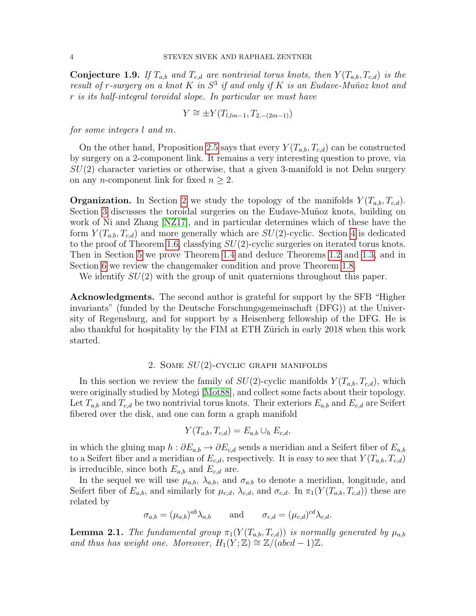**Conjecture 1.9.** If  $T_{a,b}$  and  $T_{c,d}$  are nontrivial torus knots, then  $Y(T_{a,b}, T_{c,d})$  is the result of r-surgery on a knot K in  $S^3$  if and only if K is an Eudave-Muñoz knot and r is its half-integral toroidal slope. In particular we must have

$$
Y \cong \pm Y(T_{l,lm-1}, T_{2,-(2m-1)})
$$

for some integers l and m.

On the other hand, Proposition [2.5](#page-5-2) says that every  $Y(T_{a,b}, T_{c,d})$  can be constructed by surgery on a 2-component link. It remains a very interesting question to prove, via  $SU(2)$  character varieties or otherwise, that a given 3-manifold is not Dehn surgery on any *n*-component link for fixed  $n \geq 2$ .

**Organization.** In Section [2](#page-3-0) we study the topology of the manifolds  $Y(T_{a,b}, T_{c,d})$ . Section [3](#page-5-0) discusses the toroidal surgeries on the Eudave-Muñoz knots, building on work of Ni and Zhang [\[NZ17\]](#page-28-12), and in particular determines which of these have the form  $Y(T_{a,b}, T_{c,d})$  and more generally which are  $SU(2)$ -cyclic. Section [4](#page-11-1) is dedicated to the proof of Theorem [1.6,](#page-2-0) classfying  $SU(2)$ -cyclic surgeries on iterated torus knots. Then in Section [5](#page-16-0) we prove Theorem [1.4](#page-1-2) and deduce Theorems [1.2](#page-1-0) and [1.3,](#page-1-1) and in Section [6](#page-21-1) we review the changemaker condition and prove Theorem [1.8.](#page-2-1)

We identify  $SU(2)$  with the group of unit quaternions throughout this paper.

Acknowledgments. The second author is grateful for support by the SFB "Higher invariants" (funded by the Deutsche Forschungsgemeinschaft (DFG)) at the University of Regensburg, and for support by a Heisenberg fellowship of the DFG. He is also thankful for hospitality by the FIM at ETH Zürich in early 2018 when this work started.

#### 2. SOME  $SU(2)$ -CYCLIC GRAPH MANIFOLDS

<span id="page-3-0"></span>In this section we review the family of  $SU(2)$ -cyclic manifolds  $Y(T_{a,b}, T_{c,d})$ , which were originally studied by Motegi [\[Mot88\]](#page-28-13), and collect some facts about their topology. Let  $T_{a,b}$  and  $T_{c,d}$  be two nontrivial torus knots. Their exteriors  $E_{a,b}$  and  $E_{c,d}$  are Seifert fibered over the disk, and one can form a graph manifold

$$
Y(T_{a,b}, T_{c,d}) = E_{a,b} \cup_h E_{c,d},
$$

in which the gluing map  $h : \partial E_{a,b} \to \partial E_{c,d}$  sends a meridian and a Seifert fiber of  $E_{a,b}$ to a Seifert fiber and a meridian of  $E_{c,d}$ , respectively. It is easy to see that  $Y(T_{a,b}, T_{c,d})$ is irreducible, since both  $E_{a,b}$  and  $E_{c,d}$  are.

In the sequel we will use  $\mu_{a,b}$ ,  $\lambda_{a,b}$ , and  $\sigma_{a,b}$  to denote a meridian, longitude, and Seifert fiber of  $E_{a,b}$ , and similarly for  $\mu_{c,d}$ ,  $\lambda_{c,d}$ , and  $\sigma_{c,d}$ . In  $\pi_1(Y(T_{a,b}, T_{c,d}))$  these are related by

$$
\sigma_{a,b} = (\mu_{a,b})^{ab} \lambda_{a,b} \quad \text{and} \quad \sigma_{c,d} = (\mu_{c,d})^{cd} \lambda_{c,d}.
$$

**Lemma 2.1.** The fundamental group  $\pi_1(Y(T_{a,b}, T_{c,d}))$  is normally generated by  $\mu_{a,b}$ and thus has weight one. Moreover,  $H_1(Y;\mathbb{Z}) \cong \mathbb{Z}/(abcd-1)\mathbb{Z}$ .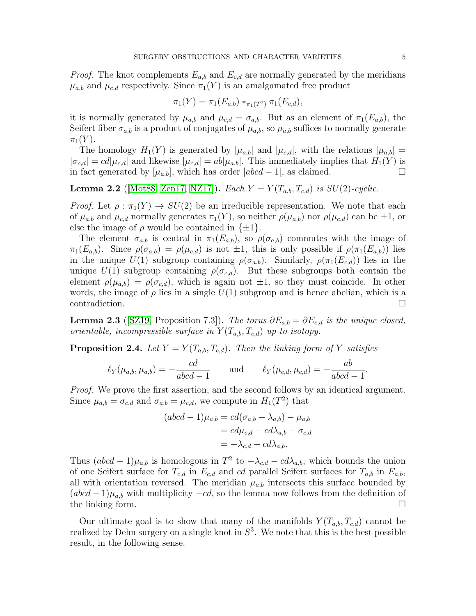*Proof.* The knot complements  $E_{a,b}$  and  $E_{c,d}$  are normally generated by the meridians  $\mu_{a,b}$  and  $\mu_{c,d}$  respectively. Since  $\pi_1(Y)$  is an amalgamated free product

$$
\pi_1(Y) = \pi_1(E_{a,b}) *_{\pi_1(T^2)} \pi_1(E_{c,d}),
$$

it is normally generated by  $\mu_{a,b}$  and  $\mu_{c,d} = \sigma_{a,b}$ . But as an element of  $\pi_1(E_{a,b})$ , the Seifert fiber  $\sigma_{a,b}$  is a product of conjugates of  $\mu_{a,b}$ , so  $\mu_{a,b}$  suffices to normally generate  $\pi_1(Y)$ .

The homology  $H_1(Y)$  is generated by  $[\mu_{a,b}]$  and  $[\mu_{c,d}]$ , with the relations  $[\mu_{a,b}]$  =  $[\sigma_{c,d}] = cd[\mu_{c,d}]$  and likewise  $[\mu_{c,d}] = ab[\mu_{a,b}]$ . This immediately implies that  $H_1(Y)$  is in fact generated by  $[\mu_{a,b}]$ , which has order  $|abcd-1|$ , as claimed. □

<span id="page-4-0"></span>**Lemma 2.2** (Mot88, [Zen17,](#page-29-1) NZ17)). Each  $Y = Y(T_{a,b}, T_{c,d})$  is  $SU(2)$ -cyclic.

*Proof.* Let  $\rho : \pi_1(Y) \to SU(2)$  be an irreducible representation. We note that each of  $\mu_{a,b}$  and  $\mu_{c,d}$  normally generates  $\pi_1(Y)$ , so neither  $\rho(\mu_{a,b})$  nor  $\rho(\mu_{c,d})$  can be  $\pm 1$ , or else the image of  $\rho$  would be contained in  $\{\pm 1\}$ .

The element  $\sigma_{a,b}$  is central in  $\pi_1(E_{a,b})$ , so  $\rho(\sigma_{a,b})$  commutes with the image of  $\pi_1(E_{a,b})$ . Since  $\rho(\sigma_{a,b}) = \rho(\mu_{c,d})$  is not  $\pm 1$ , this is only possible if  $\rho(\pi_1(E_{a,b}))$  lies in the unique  $U(1)$  subgroup containing  $\rho(\sigma_{a,b})$ . Similarly,  $\rho(\pi_1(E_{c,d}))$  lies in the unique  $U(1)$  subgroup containing  $\rho(\sigma_{c,d})$ . But these subgroups both contain the element  $\rho(\mu_{a,b}) = \rho(\sigma_{c,d})$ , which is again not  $\pm 1$ , so they must coincide. In other words, the image of  $\rho$  lies in a single  $U(1)$  subgroup and is hence abelian, which is a  $\Box$ contradiction.

<span id="page-4-1"></span>**Lemma 2.3** ([\[SZ19,](#page-29-0) Proposition 7.3]). The torus  $\partial E_{a,b} = \partial E_{c,d}$  is the unique closed, orientable, incompressible surface in  $Y(T_{a,b}, T_{c,d})$  up to isotopy.

<span id="page-4-2"></span>**Proposition 2.4.** Let  $Y = Y(T_{a,b}, T_{c,d})$ . Then the linking form of Y satisfies

$$
\ell_Y(\mu_{a,b}, \mu_{a,b}) = -\frac{cd}{abcd - 1} \quad \text{and} \quad \ell_Y(\mu_{c,d}, \mu_{c,d}) = -\frac{ab}{abcd - 1}
$$

Proof. We prove the first assertion, and the second follows by an identical argument. Since  $\mu_{a,b} = \sigma_{c,d}$  and  $\sigma_{a,b} = \mu_{c,d}$ , we compute in  $H_1(T^2)$  that

$$
(abcd - 1)\mu_{a,b} = cd(\sigma_{a,b} - \lambda_{a,b}) - \mu_{a,b}
$$

$$
= cd\mu_{c,d} - cd\lambda_{a,b} - \sigma_{c,d}
$$

$$
= -\lambda_{c,d} - cd\lambda_{a,b}.
$$

Thus  $(abcd-1)\mu_{a,b}$  is homologous in  $T^2$  to  $-\lambda_{c,d} - cd\lambda_{a,b}$ , which bounds the union of one Seifert surface for  $T_{c,d}$  in  $E_{c,d}$  and cd parallel Seifert surfaces for  $T_{a,b}$  in  $E_{a,b}$ , all with orientation reversed. The meridian  $\mu_{a,b}$  intersects this surface bounded by  $(abcd-1)\mu_{a,b}$  with multiplicity  $-cd$ , so the lemma now follows from the definition of the linking form.  $\square$ 

Our ultimate goal is to show that many of the manifolds  $Y(T_{a,b}, T_{c,d})$  cannot be realized by Dehn surgery on a single knot in  $S<sup>3</sup>$ . We note that this is the best possible result, in the following sense.

.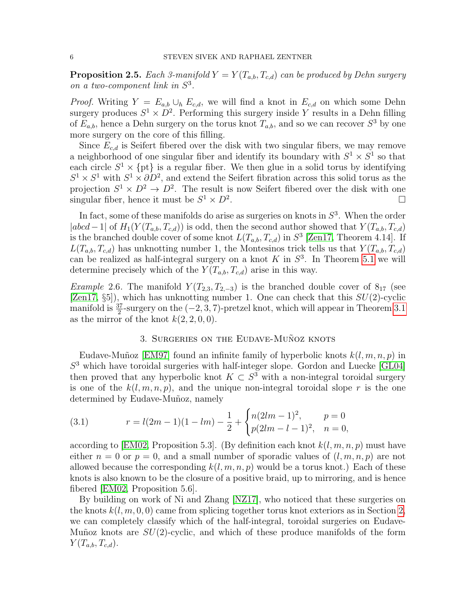<span id="page-5-2"></span>**Proposition 2.5.** Each 3-manifold  $Y = Y(T_{a,b}, T_{c,d})$  can be produced by Dehn surgery on a two-component link in  $S^3$ .

*Proof.* Writing  $Y = E_{a,b} \cup_h E_{c,d}$ , we will find a knot in  $E_{c,d}$  on which some Dehn surgery produces  $S^1 \times D^2$ . Performing this surgery inside Y results in a Dehn filling of  $E_{a,b}$ , hence a Dehn surgery on the torus knot  $T_{a,b}$ , and so we can recover  $S^3$  by one more surgery on the core of this filling.

Since  $E_{c,d}$  is Seifert fibered over the disk with two singular fibers, we may remove a neighborhood of one singular fiber and identify its boundary with  $S^1 \times S^1$  so that each circle  $S^1 \times \{pt\}$  is a regular fiber. We then glue in a solid torus by identifying  $S^1 \times S^1$  with  $S^1 \times \partial D^2$ , and extend the Seifert fibration across this solid torus as the projection  $S^1 \times D^2 \to D^2$ . The result is now Seifert fibered over the disk with one singular fiber, hence it must be  $S^1 \times D^2$ .

In fact, some of these manifolds do arise as surgeries on knots in  $S<sup>3</sup>$ . When the order  $|abcd-1|$  of  $H_1(Y(T_{a,b}, T_{c,d}))$  is odd, then the second author showed that  $Y(T_{a,b}, T_{c,d})$ is the branched double cover of some knot  $L(T_{a,b}, T_{c,d})$  in  $S^3$  [\[Zen17,](#page-29-1) Theorem 4.14]. If  $L(T_{a,b}, T_{c,d})$  has unknotting number 1, the Montesinos trick tells us that  $Y(T_{a,b}, T_{c,d})$ can be realized as half-integral surgery on a knot  $K$  in  $S^3$ . In Theorem [5.1](#page-17-0) we will determine precisely which of the  $Y(T_{a,b}, T_{c,d})$  arise in this way.

Example 2.6. The manifold  $Y(T_{2,3}, T_{2,-3})$  is the branched double cover of  $8_{17}$  (see [\[Zen17,](#page-29-1)  $\S5$ ]), which has unknotting number 1. One can check that this  $SU(2)$ -cyclic manifold is  $\frac{37}{2}$ -surgery on the  $(-2, 3, 7)$ -pretzel knot, which will appear in Theorem [3.1](#page-6-0) as the mirror of the knot  $k(2, 2, 0, 0)$ .

### 3. SURGERIES ON THE EUDAVE-MUÑOZ KNOTS

<span id="page-5-0"></span>Eudave-Muñoz [\[EM97\]](#page-28-11) found an infinite family of hyperbolic knots  $k(l, m, n, p)$  in  $S<sup>3</sup>$  which have toroidal surgeries with half-integer slope. Gordon and Luecke [\[GL04\]](#page-28-10) then proved that any hyperbolic knot  $K \subset S^3$  with a non-integral toroidal surgery is one of the  $k(l, m, n, p)$ , and the unique non-integral toroidal slope r is the one determined by Eudave-Muñoz, namely

<span id="page-5-1"></span>(3.1) 
$$
r = l(2m - 1)(1 - lm) - \frac{1}{2} + \begin{cases} n(2lm - 1)^2, & p = 0\\ p(2lm - l - 1)^2, & n = 0, \end{cases}
$$

according to [\[EM02,](#page-28-14) Proposition 5.3]. (By definition each knot  $k(l, m, n, p)$  must have either  $n = 0$  or  $p = 0$ , and a small number of sporadic values of  $(l, m, n, p)$  are not allowed because the corresponding  $k(l, m, n, p)$  would be a torus knot.) Each of these knots is also known to be the closure of a positive braid, up to mirroring, and is hence fibered [\[EM02,](#page-28-14) Proposition 5.6].

By building on work of Ni and Zhang [\[NZ17\]](#page-28-12), who noticed that these surgeries on the knots  $k(l, m, 0, 0)$  came from splicing together torus knot exteriors as in Section [2,](#page-3-0) we can completely classify which of the half-integral, toroidal surgeries on Eudave-Muñoz knots are  $SU(2)$ -cyclic, and which of these produce manifolds of the form  $Y(T_{a,b}, T_{c,d}).$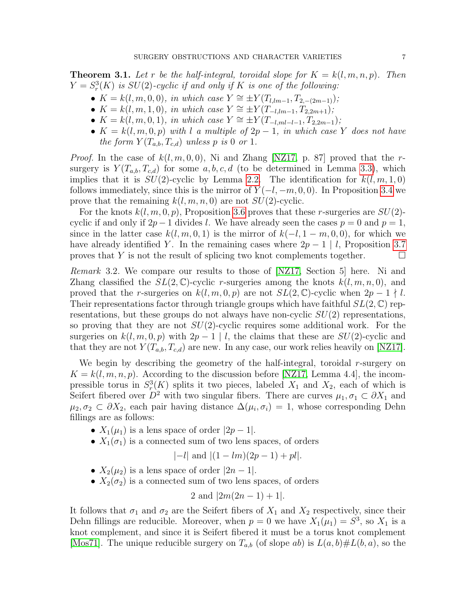<span id="page-6-0"></span>**Theorem 3.1.** Let r be the half-integral, toroidal slope for  $K = k(l, m, n, p)$ . Then  $Y = S_r^3(K)$  is  $SU(2)$ -cyclic if and only if K is one of the following:

- $K = k(l, m, 0, 0)$ , in which case  $Y \cong \pm Y(T_{l, lm-1}, T_{2,-(2m-1)})$ ;
- $K = k(l, m, 1, 0)$ , in which case  $Y \cong \pm Y(T_{-l, lm-1}, T_{2,2m+1})$ ;
- $K = k(l, m, 0, 1),$  in which case  $Y \cong \pm Y(T_{-l,ml-l-1}, T_{2,2m-1});$
- $K = k(l, m, 0, p)$  with l a multiple of  $2p 1$ , in which case Y does not have the form  $Y(T_{a,b}, T_{c,d})$  unless p is 0 or 1.

*Proof.* In the case of  $k(l, m, 0, 0)$ , Ni and Zhang [\[NZ17,](#page-28-12) p. 87] proved that the rsurgery is  $Y(T_{a,b}, T_{c,d})$  for some  $a, b, c, d$  (to be determined in Lemma [3.3\)](#page-7-0), which implies that it is  $SU(2)$ -cyclic by Lemma [2.2.](#page-4-0) The identification for  $k(l, m, 1, 0)$ follows immediately, since this is the mirror of  $Y(-l, -m, 0, 0)$ . In Proposition [3.4](#page-7-1) we prove that the remaining  $k(l, m, n, 0)$  are not  $SU(2)$ -cyclic.

For the knots  $k(l, m, 0, p)$ , Proposition [3.6](#page-8-0) proves that these r-surgeries are  $SU(2)$ cyclic if and only if  $2p-1$  divides l. We have already seen the cases  $p=0$  and  $p=1$ , since in the latter case  $k(l, m, 0, 1)$  is the mirror of  $k(-l, 1-m, 0, 0)$ , for which we have already identified Y. In the remaining cases where  $2p-1 \mid l$ , Proposition [3.7](#page-10-0) proves that Y is not the result of splicing two knot complements together.  $\Box$ 

Remark 3.2. We compare our results to those of [\[NZ17,](#page-28-12) Section 5] here. Ni and Zhang classified the  $SL(2,\mathbb{C})$ -cyclic r-surgeries among the knots  $k(l, m, n, 0)$ , and proved that the r-surgeries on  $k(l, m, 0, p)$  are not  $SL(2, \mathbb{C})$ -cyclic when  $2p - 1 \nmid l$ . Their representations factor through triangle groups which have faithful  $SL(2,\mathbb{C})$  representations, but these groups do not always have non-cyclic  $SU(2)$  representations, so proving that they are not  $SU(2)$ -cyclic requires some additional work. For the surgeries on  $k(l, m, 0, p)$  with  $2p - 1 \mid l$ , the claims that these are  $SU(2)$ -cyclic and that they are not  $Y(T_{a,b}, T_{c,d})$  are new. In any case, our work relies heavily on [\[NZ17\]](#page-28-12).

We begin by describing the geometry of the half-integral, toroidal r-surgery on  $K = k(l, m, n, p)$ . According to the discussion before [\[NZ17,](#page-28-12) Lemma 4.4], the incompressible torus in  $S_r^3(K)$  splits it two pieces, labeled  $X_1$  and  $X_2$ , each of which is Seifert fibered over  $D^2$  with two singular fibers. There are curves  $\mu_1, \sigma_1 \subset \partial X_1$  and  $\mu_2, \sigma_2 \subset \partial X_2$ , each pair having distance  $\Delta(\mu_i, \sigma_i) = 1$ , whose corresponding Dehn fillings are as follows:

- $X_1(\mu_1)$  is a lens space of order  $|2p-1|$ .
- $X_1(\sigma_1)$  is a connected sum of two lens spaces, of orders

$$
|-l|
$$
 and  $|(1-lm)(2p-1)+pl|$ .

- $X_2(\mu_2)$  is a lens space of order  $|2n-1|$ .
- $X_2(\sigma_2)$  is a connected sum of two lens spaces, of orders

2 and 
$$
|2m(2n-1)+1|
$$
.

It follows that  $\sigma_1$  and  $\sigma_2$  are the Seifert fibers of  $X_1$  and  $X_2$  respectively, since their Dehn fillings are reducible. Moreover, when  $p = 0$  we have  $X_1(\mu_1) = S^3$ , so  $X_1$  is a knot complement, and since it is Seifert fibered it must be a torus knot complement [\[Mos71\]](#page-28-15). The unique reducible surgery on  $T_{a,b}$  (of slope ab) is  $L(a,b)\# L(b,a)$ , so the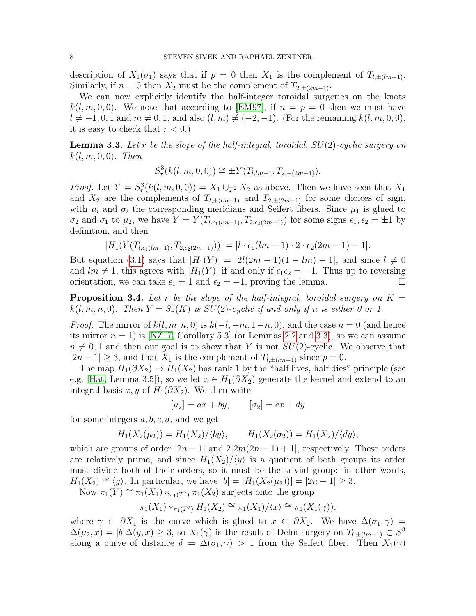description of  $X_1(\sigma_1)$  says that if  $p = 0$  then  $X_1$  is the complement of  $T_{l, \pm (lm-1)}$ . Similarly, if  $n = 0$  then  $X_2$  must be the complement of  $T_{2,\pm(2m-1)}$ .

We can now explicitly identify the half-integer toroidal surgeries on the knots  $k(l, m, 0, 0)$ . We note that according to [\[EM97\]](#page-28-11), if  $n = p = 0$  then we must have  $l \neq -1, 0, 1$  and  $m \neq 0, 1$ , and also  $(l, m) \neq (-2, -1)$ . (For the remaining  $k(l, m, 0, 0)$ , it is easy to check that  $r < 0$ .)

<span id="page-7-0"></span>**Lemma 3.3.** Let r be the slope of the half-integral, toroidal,  $SU(2)$ -cyclic surgery on  $k(l, m, 0, 0)$ . Then

$$
S_r^3(k(l, m, 0, 0)) \cong \pm Y(T_{l, lm-1}, T_{2, -(2m-1)}).
$$

*Proof.* Let  $Y = S_r^3(k(l, m, 0, 0)) = X_1 \cup_{T^2} X_2$  as above. Then we have seen that  $X_1$ and  $X_2$  are the complements of  $T_{l,\pm(lm-1)}$  and  $T_{2,\pm(2m-1)}$  for some choices of sign, with  $\mu_i$  and  $\sigma_i$  the corresponding meridians and Seifert fibers. Since  $\mu_1$  is glued to  $\sigma_2$  and  $\sigma_1$  to  $\mu_2$ , we have  $Y = Y(T_{l,\epsilon_1(lm-1)}, T_{2,\epsilon_2(2m-1)})$  for some signs  $\epsilon_1, \epsilon_2 = \pm 1$  by definition, and then

$$
|H_1(Y(T_{l,\epsilon_1(lm-1)},T_{2,\epsilon_2(2m-1)}))|=|l\cdot\epsilon_1(lm-1)\cdot2\cdot\epsilon_2(2m-1)-1|.
$$

But equation [\(3.1\)](#page-5-1) says that  $|H_1(Y)| = |2l(2m-1)(1 - lm) - 1|$ , and since  $l \neq 0$ and  $lm \neq 1$ , this agrees with  $|H_1(Y)|$  if and only if  $\epsilon_1 \epsilon_2 = -1$ . Thus up to reversing orientation, we can take  $\epsilon_1 = 1$  and  $\epsilon_2 = -1$ , proving the lemma.

<span id="page-7-1"></span>**Proposition 3.4.** Let r be the slope of the half-integral, toroidal surgery on  $K =$  $k(l, m, n, 0)$ . Then  $Y = S_r^3(K)$  is  $SU(2)$ -cyclic if and only if n is either 0 or 1.

*Proof.* The mirror of  $k(l, m, n, 0)$  is  $k(-l, -m, 1-n, 0)$ , and the case  $n = 0$  (and hence its mirror  $n = 1$ ) is [\[NZ17,](#page-28-12) Corollary 5.3] (or Lemmas [2.2](#page-4-0) and [3.3\)](#page-7-0), so we can assume  $n \neq 0, 1$  and then our goal is to show that Y is not  $SU(2)$ -cyclic. We observe that  $|2n-1| \geq 3$ , and that  $X_1$  is the complement of  $T_{l, \pm (lm-1)}$  since  $p = 0$ .

The map  $H_1(\partial X_2) \to H_1(X_2)$  has rank 1 by the "half lives, half dies" principle (see e.g. [\[Hat,](#page-28-16) Lemma 3.5]), so we let  $x \in H_1(\partial X_2)$  generate the kernel and extend to an integral basis x, y of  $H_1(\partial X_2)$ . We then write

$$
[\mu_2] = ax + by, \qquad [\sigma_2] = cx + dy
$$

for some integers  $a, b, c, d$ , and we get

$$
H_1(X_2(\mu_2)) = H_1(X_2)/\langle by \rangle, \qquad H_1(X_2(\sigma_2)) = H_1(X_2)/\langle dy \rangle,
$$

which are groups of order  $|2n-1|$  and  $2|2m(2n-1)+1|$ , respectively. These orders are relatively prime, and since  $H_1(X_2)/\langle y \rangle$  is a quotient of both groups its order must divide both of their orders, so it must be the trivial group: in other words,  $H_1(X_2) \cong \langle y \rangle$ . In particular, we have  $|b| = |H_1(X_2(\mu_2))| = |2n-1| \geq 3$ .

Now  $\pi_1(Y) \cong \pi_1(X_1) *_{\pi_1(T^2)} \pi_1(X_2)$  surjects onto the group

$$
\pi_1(X_1) *_{\pi_1(T^2)} H_1(X_2) \cong \pi_1(X_1) / \langle x \rangle \cong \pi_1(X_1(\gamma)),
$$

where  $\gamma \subset \partial X_1$  is the curve which is glued to  $x \subset \partial X_2$ . We have  $\Delta(\sigma_1, \gamma) =$  $\Delta(\mu_2, x) = |b| \Delta(y, x) \geq 3$ , so  $X_1(\gamma)$  is the result of Dehn surgery on  $T_{l, \pm (lm-1)} \subset S^3$ along a curve of distance  $\delta = \Delta(\sigma_1, \gamma) > 1$  from the Seifert fiber. Then  $X_1(\gamma)$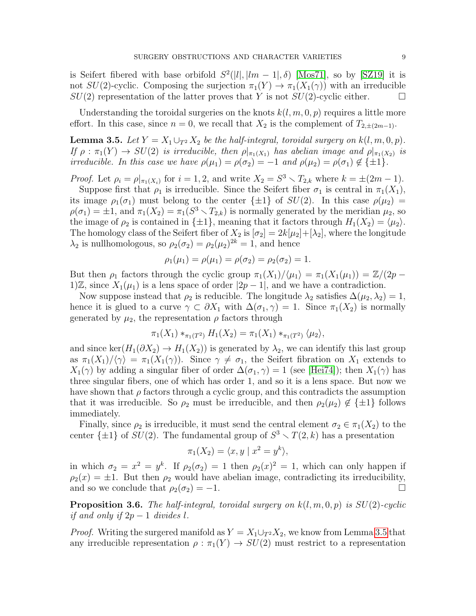is Seifert fibered with base orbifold  $S^2(|l|, |lm - 1|, \delta)$  [\[Mos71\]](#page-28-15), so by [\[SZ19\]](#page-29-0) it is not  $SU(2)$ -cyclic. Composing the surjection  $\pi_1(Y) \to \pi_1(X_1(\gamma))$  with an irreducible  $SU(2)$  representation of the latter proves that Y is not  $SU(2)$ -cyclic either.

Understanding the toroidal surgeries on the knots  $k(l, m, 0, p)$  requires a little more effort. In this case, since  $n = 0$ , we recall that  $X_2$  is the complement of  $T_{2,\pm(2m-1)}$ .

<span id="page-8-1"></span>**Lemma 3.5.** Let  $Y = X_1 \cup_{T^2} X_2$  be the half-integral, toroidal surgery on  $k(l, m, 0, p)$ . If  $\rho: \pi_1(Y) \to SU(2)$  is irreducible, then  $\rho|_{\pi_1(X_1)}$  has abelian image and  $\rho|_{\pi_1(X_2)}$  is irreducible. In this case we have  $\rho(\mu_1) = \rho(\sigma_2) = -1$  and  $\rho(\mu_2) = \rho(\sigma_1) \notin {\pm 1}$ .

*Proof.* Let  $\rho_i = \rho|_{\pi_1(X_i)}$  for  $i = 1, 2$ , and write  $X_2 = S^3 \setminus T_{2,k}$  where  $k = \pm (2m - 1)$ .

Suppose first that  $\rho_1$  is irreducible. Since the Seifert fiber  $\sigma_1$  is central in  $\pi_1(X_1)$ , its image  $\rho_1(\sigma_1)$  must belong to the center  $\{\pm 1\}$  of  $SU(2)$ . In this case  $\rho(\mu_2)$  =  $\rho(\sigma_1) = \pm 1$ , and  $\pi_1(X_2) = \pi_1(S^3 \setminus T_{2,k})$  is normally generated by the meridian  $\mu_2$ , so the image of  $\rho_2$  is contained in  $\{\pm 1\}$ , meaning that it factors through  $H_1(X_2) = \langle \mu_2 \rangle$ . The homology class of the Seifert fiber of  $X_2$  is  $[\sigma_2] = 2k[\mu_2] + [\lambda_2]$ , where the longitude  $\lambda_2$  is nullhomologous, so  $\rho_2(\sigma_2) = \rho_2(\mu_2)^{2k} = 1$ , and hence

$$
\rho_1(\mu_1) = \rho(\mu_1) = \rho(\sigma_2) = \rho_2(\sigma_2) = 1.
$$

But then  $\rho_1$  factors through the cyclic group  $\pi_1(X_1)/\langle \mu_1 \rangle = \pi_1(X_1(\mu_1)) = \mathbb{Z}/(2p - 1)$ 1)Z, since  $X_1(\mu_1)$  is a lens space of order  $|2p-1|$ , and we have a contradiction.

Now suppose instead that  $\rho_2$  is reducible. The longitude  $\lambda_2$  satisfies  $\Delta(\mu_2, \lambda_2) = 1$ , hence it is glued to a curve  $\gamma \subset \partial X_1$  with  $\Delta(\sigma_1, \gamma) = 1$ . Since  $\pi_1(X_2)$  is normally generated by  $\mu_2$ , the representation  $\rho$  factors through

$$
\pi_1(X_1) *_{\pi_1(T^2)} H_1(X_2) = \pi_1(X_1) *_{\pi_1(T^2)} \langle \mu_2 \rangle,
$$

and since ker( $H_1(\partial X_2) \to H_1(X_2)$ ) is generated by  $\lambda_2$ , we can identify this last group as  $\pi_1(X_1)/\langle \gamma \rangle = \pi_1(X_1(\gamma))$ . Since  $\gamma \neq \sigma_1$ , the Seifert fibration on  $X_1$  extends to  $X_1(\gamma)$  by adding a singular fiber of order  $\Delta(\sigma_1, \gamma) = 1$  (see [\[Hei74\]](#page-28-17)); then  $X_1(\gamma)$  has three singular fibers, one of which has order 1, and so it is a lens space. But now we have shown that  $\rho$  factors through a cyclic group, and this contradicts the assumption that it was irreducible. So  $\rho_2$  must be irreducible, and then  $\rho_2(\mu_2) \notin {\pm 1}$  follows immediately.

Finally, since  $\rho_2$  is irreducible, it must send the central element  $\sigma_2 \in \pi_1(X_2)$  to the center  $\{\pm 1\}$  of  $SU(2)$ . The fundamental group of  $S^3 \setminus T(2, k)$  has a presentation

$$
\pi_1(X_2) = \langle x, y \mid x^2 = y^k \rangle,
$$

in which  $\sigma_2 = x^2 = y^k$ . If  $\rho_2(\sigma_2) = 1$  then  $\rho_2(x)^2 = 1$ , which can only happen if  $\rho_2(x) = \pm 1$ . But then  $\rho_2$  would have abelian image, contradicting its irreducibility, and so we conclude that  $\rho_2(\sigma_2) = -1$ .

<span id="page-8-0"></span>**Proposition 3.6.** The half-integral, toroidal surgery on  $k(l, m, 0, p)$  is  $SU(2)$ -cyclic if and only if  $2p-1$  divides l.

*Proof.* Writing the surgered manifold as  $Y = X_1 \cup_{T^2} X_2$ , we know from Lemma [3.5](#page-8-1) that any irreducible representation  $\rho : \pi_1(Y) \to SU(2)$  must restrict to a representation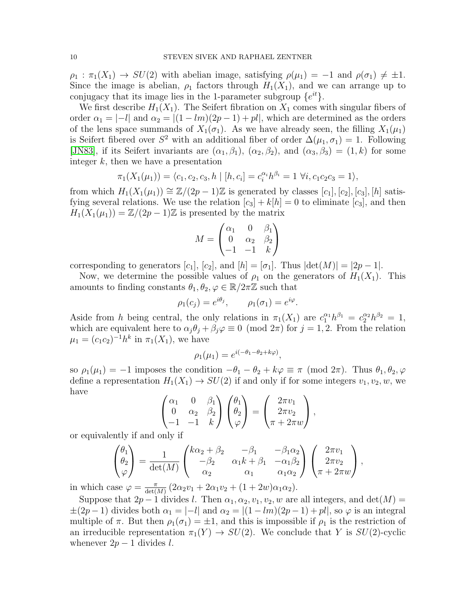$\rho_1 : \pi_1(X_1) \to SU(2)$  with abelian image, satisfying  $\rho(\mu_1) = -1$  and  $\rho(\sigma_1) \neq \pm 1$ . Since the image is abelian,  $\rho_1$  factors through  $H_1(X_1)$ , and we can arrange up to conjugacy that its image lies in the 1-parameter subgroup  $\{e^{it}\}.$ 

We first describe  $H_1(X_1)$ . The Seifert fibration on  $X_1$  comes with singular fibers of order  $\alpha_1 = |-l|$  and  $\alpha_2 = |(1 - lm)(2p - 1) + pl|$ , which are determined as the orders of the lens space summands of  $X_1(\sigma_1)$ . As we have already seen, the filling  $X_1(\mu_1)$ is Seifert fibered over  $S^2$  with an additional fiber of order  $\Delta(\mu_1, \sigma_1) = 1$ . Following [\[JN83\]](#page-28-18), if its Seifert invariants are  $(\alpha_1, \beta_1)$ ,  $(\alpha_2, \beta_2)$ , and  $(\alpha_3, \beta_3) = (1, k)$  for some integer  $k$ , then we have a presentation

$$
\pi_1(X_1(\mu_1)) = \langle c_1, c_2, c_3, h \mid [h, c_i] = c_i^{\alpha_i} h^{\beta_i} = 1 \ \forall i, c_1 c_2 c_3 = 1 \rangle,
$$

from which  $H_1(X_1(\mu_1)) \cong \mathbb{Z}/(2p-1)\mathbb{Z}$  is generated by classes  $[c_1], [c_2], [c_3], [h]$  satisfying several relations. We use the relation  $[c_3] + k[h] = 0$  to eliminate  $[c_3]$ , and then  $H_1(X_1(\mu_1)) = \mathbb{Z}/(2p-1)\mathbb{Z}$  is presented by the matrix

$$
M = \begin{pmatrix} \alpha_1 & 0 & \beta_1 \\ 0 & \alpha_2 & \beta_2 \\ -1 & -1 & k \end{pmatrix}
$$

corresponding to generators  $[c_1]$ ,  $[c_2]$ , and  $[h] = [\sigma_1]$ . Thus  $|\text{det}(M)| = |2p - 1|$ .

Now, we determine the possible values of  $\rho_1$  on the generators of  $H_1(X_1)$ . This amounts to finding constants  $\theta_1, \theta_2, \varphi \in \mathbb{R}/2\pi\mathbb{Z}$  such that

$$
\rho_1(c_j) = e^{i\theta_j}, \qquad \rho_1(\sigma_1) = e^{i\varphi}.
$$

Aside from h being central, the only relations in  $\pi_1(X_1)$  are  $c_1^{\alpha_1}h^{\beta_1} = c_2^{\alpha_2}h^{\beta_2} = 1$ , which are equivalent here to  $\alpha_j \theta_j + \beta_j \varphi \equiv 0 \pmod{2\pi}$  for  $j = 1, 2$ . From the relation  $\mu_1 = (c_1 c_2)^{-1} h^k$  in  $\pi_1(X_1)$ , we have

$$
\rho_1(\mu_1) = e^{i(-\theta_1 - \theta_2 + k\varphi)},
$$

so  $\rho_1(\mu_1) = -1$  imposes the condition  $-\theta_1 - \theta_2 + k\varphi \equiv \pi \pmod{2\pi}$ . Thus  $\theta_1, \theta_2, \varphi$ define a representation  $H_1(X_1) \to SU(2)$  if and only if for some integers  $v_1, v_2, w$ , we have

$$
\begin{pmatrix} \alpha_1 & 0 & \beta_1 \\ 0 & \alpha_2 & \beta_2 \\ -1 & -1 & k \end{pmatrix} \begin{pmatrix} \theta_1 \\ \theta_2 \\ \varphi \end{pmatrix} = \begin{pmatrix} 2\pi v_1 \\ 2\pi v_2 \\ \pi + 2\pi w \end{pmatrix},
$$

or equivalently if and only if

$$
\begin{pmatrix} \theta_1 \\ \theta_2 \\ \varphi \end{pmatrix} = \frac{1}{\det(M)} \begin{pmatrix} k\alpha_2 + \beta_2 & -\beta_1 & -\beta_1\alpha_2 \\ -\beta_2 & \alpha_1k + \beta_1 & -\alpha_1\beta_2 \\ \alpha_2 & \alpha_1 & \alpha_1\alpha_2 \end{pmatrix} \begin{pmatrix} 2\pi v_1 \\ 2\pi v_2 \\ \pi + 2\pi w \end{pmatrix},
$$

in which case  $\varphi = \frac{\pi}{\det(\pi)}$  $\frac{\pi}{\det(M)} (2\alpha_2 v_1 + 2\alpha_1 v_2 + (1+2w)\alpha_1 \alpha_2).$ 

Suppose that  $2p-1$  divides l. Then  $\alpha_1, \alpha_2, v_1, v_2, w$  are all integers, and  $\det(M)$  =  $\pm(2p-1)$  divides both  $\alpha_1 = |-l|$  and  $\alpha_2 = |(1 - lm)(2p-1) + pl|$ , so  $\varphi$  is an integral multiple of  $\pi$ . But then  $\rho_1(\sigma_1) = \pm 1$ , and this is impossible if  $\rho_1$  is the restriction of an irreducible representation  $\pi_1(Y) \to SU(2)$ . We conclude that Y is  $SU(2)$ -cyclic whenever  $2p - 1$  divides l.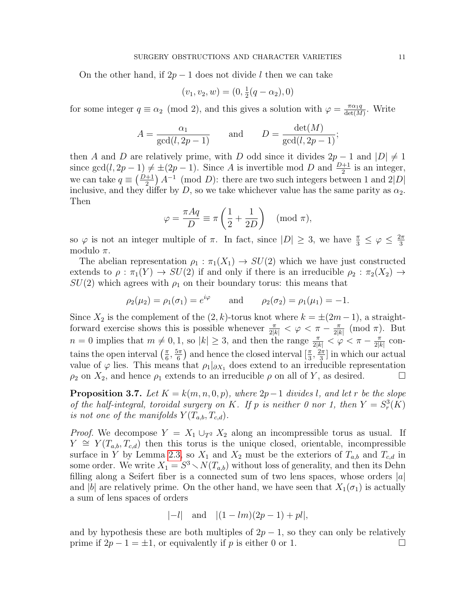On the other hand, if  $2p-1$  does not divide l then we can take

$$
(v_1, v_2, w) = (0, \frac{1}{2}(q - \alpha_2), 0)
$$

for some integer  $q \equiv \alpha_2 \pmod{2}$ , and this gives a solution with  $\varphi = \frac{\pi \alpha_1 q}{\det(M)}$  $\frac{\pi \alpha_1 q}{\det(M)}$ . Write

$$
A = \frac{\alpha_1}{\gcd(l, 2p - 1)} \quad \text{and} \quad D = \frac{\det(M)}{\gcd(l, 2p - 1)};
$$

then A and D are relatively prime, with D odd since it divides  $2p - 1$  and  $|D| \neq 1$ since  $gcd(l, 2p - 1) \neq \pm (2p - 1)$ . Since A is invertible mod D and  $\frac{D+1}{2}$  is an integer, we can take  $q \equiv \left(\frac{D+1}{2}\right) A^{-1} \pmod{D}$ : there are two such integers between 1 and 2|D| inclusive, and they differ by D, so we take whichever value has the same parity as  $\alpha_2$ . Then

$$
\varphi = \frac{\pi Aq}{D} \equiv \pi \left( \frac{1}{2} + \frac{1}{2D} \right) \pmod{\pi},
$$

so  $\varphi$  is not an integer multiple of  $\pi$ . In fact, since  $|D| \geq 3$ , we have  $\frac{\pi}{3} \leq \varphi \leq \frac{2\pi}{3}$ 3 modulo  $\pi$ .

The abelian representation  $\rho_1 : \pi_1(X_1) \to SU(2)$  which we have just constructed extends to  $\rho : \pi_1(Y) \to SU(2)$  if and only if there is an irreducible  $\rho_2 : \pi_2(X_2) \to$  $SU(2)$  which agrees with  $\rho_1$  on their boundary torus: this means that

$$
\rho_2(\mu_2) = \rho_1(\sigma_1) = e^{i\varphi}
$$
 and  $\rho_2(\sigma_2) = \rho_1(\mu_1) = -1$ .

Since  $X_2$  is the complement of the  $(2, k)$ -torus knot where  $k = \pm (2m - 1)$ , a straightforward exercise shows this is possible whenever  $\frac{\pi}{2|k|} < \varphi < \pi - \frac{\pi}{2|k|}$  $\frac{\pi}{2|k|}$  (mod  $\pi$ ). But  $n = 0$  implies that  $m \neq 0, 1$ , so  $|k| \geq 3$ , and then the range  $\frac{\pi}{2|k|} < \varphi < \pi - \frac{\pi}{2|k|}$  $\frac{\pi}{2|k|}$  contains the open interval  $\left(\frac{\pi}{6}\right)$  $\frac{\pi}{6}, \frac{5\pi}{6}$  $\left(\frac{5\pi}{6}\right)$  and hence the closed interval  $\left[\frac{\pi}{3}, \frac{2\pi}{3}\right]$  $\frac{2\pi}{3}$  in which our actual value of  $\varphi$  lies. This means that  $\rho_1|_{\partial X_1}$  does extend to an irreducible representation  $\rho_2$  on  $X_2$ , and hence  $\rho_1$  extends to an irreducible  $\rho$  on all of Y, as desired.

<span id="page-10-0"></span>**Proposition 3.7.** Let  $K = k(m, n, 0, p)$ , where  $2p-1$  divides l, and let r be the slope of the half-integral, toroidal surgery on K. If p is neither 0 nor 1, then  $Y = S_r^3(K)$ is not one of the manifolds  $Y(T_{a,b}, T_{c,d})$ .

*Proof.* We decompose  $Y = X_1 \cup_{T^2} X_2$  along an incompressible torus as usual. If  $Y \cong Y(T_{a,b}, T_{c,d})$  then this torus is the unique closed, orientable, incompressible surface in Y by Lemma [2.3,](#page-4-1) so  $X_1$  and  $X_2$  must be the exteriors of  $T_{a,b}$  and  $T_{c,d}$  in some order. We write  $X_1 = S^3 \setminus N(T_{a,b})$  without loss of generality, and then its Dehn filling along a Seifert fiber is a connected sum of two lens spaces, whose orders  $|a|$ and |b| are relatively prime. On the other hand, we have seen that  $X_1(\sigma_1)$  is actually a sum of lens spaces of orders

$$
|-l|
$$
 and  $|(1-lm)(2p-1)+pl|$ ,

and by hypothesis these are both multiples of  $2p - 1$ , so they can only be relatively prime if  $2p - 1 = \pm 1$ , or equivalently if p is either 0 or 1.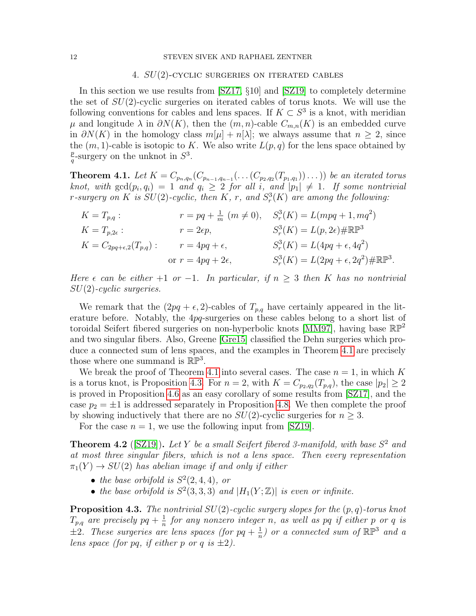#### <span id="page-11-1"></span>12 STEVEN SIVEK AND RAPHAEL ZENTNER

### 4. SU(2)-cyclic surgeries on iterated cables

In this section we use results from [\[SZ17,](#page-29-2) §10] and [\[SZ19\]](#page-29-0) to completely determine the set of  $SU(2)$ -cyclic surgeries on iterated cables of torus knots. We will use the following conventions for cables and lens spaces. If  $K \subset S^3$  is a knot, with meridian  $\mu$  and longitude  $\lambda$  in  $\partial N(K)$ , then the  $(m, n)$ -cable  $C_{m,n}(K)$  is an embedded curve in  $\partial N(K)$  in the homology class  $m[\mu] + n[\lambda]$ ; we always assume that  $n \geq 2$ , since the  $(m, 1)$ -cable is isotopic to K. We also write  $L(p, q)$  for the lens space obtained by p  $\frac{p}{q}$ -surgery on the unknot in  $S^3$ .

<span id="page-11-0"></span>**Theorem 4.1.** Let  $K = C_{p_n,q_n}(C_{p_{n-1},q_{n-1}}(\ldots(C_{p_2,q_2}(T_{p_1,q_1}))\ldots))$  be an iterated torus knot, with  $gcd(p_i, q_i) = 1$  and  $q_i \ge 2$  for all i, and  $|p_1| \ne 1$ . If some nontrivial *r*-surgery on K is  $SU(2)$ -cyclic, then K, r, and  $S_r^3(K)$  are among the following:

$$
K = T_{p,q} : \t r = pq + \frac{1}{m} (m \neq 0), \t S_r^3(K) = L(mpq + 1, mq^2)
$$
  
\n
$$
K = T_{p,2\epsilon} : \t r = 2\epsilon p, \t S_r^3(K) = L(p, 2\epsilon) \# \mathbb{RP}^3
$$
  
\n
$$
K = C_{2pq + \epsilon,2}(T_{p,q}) : \t r = 4pq + \epsilon, \t S_r^3(K) = L(4pq + \epsilon, 4q^2)
$$
  
\nor  $r = 4pq + 2\epsilon, \t S_r^3(K) = L(2pq + \epsilon, 2q^2) \# \mathbb{RP}^3.$ 

Here  $\epsilon$  can be either +1 or -1. In particular, if  $n \geq 3$  then K has no nontrivial SU(2)-cyclic surgeries.

We remark that the  $(2pq + \epsilon, 2)$ -cables of  $T_{p,q}$  have certainly appeared in the literature before. Notably, the 4pq-surgeries on these cables belong to a short list of toroidal Seifert fibered surgeries on non-hyperbolic knots [\[MM97\]](#page-28-19), having base  $\mathbb{RP}^2$ and two singular fibers. Also, Greene [\[Gre15\]](#page-28-3) classified the Dehn surgeries which produce a connected sum of lens spaces, and the examples in Theorem [4.1](#page-11-0) are precisely those where one summand is  $\mathbb{RP}^3$ .

We break the proof of Theorem [4.1](#page-11-0) into several cases. The case  $n = 1$ , in which K is a torus knot, is Proposition [4.3.](#page-11-2) For  $n = 2$ , with  $K = C_{p_2,q_2}(T_{p,q})$ , the case  $|p_2| \geq 2$ is proved in Proposition [4.6](#page-12-0) as an easy corollary of some results from [\[SZ17\]](#page-29-2), and the case  $p_2 = \pm 1$  is addressed separately in Proposition [4.8.](#page-14-0) We then complete the proof by showing inductively that there are no  $SU(2)$ -cyclic surgeries for  $n \geq 3$ .

For the case  $n = 1$ , we use the following input from [\[SZ19\]](#page-29-0).

<span id="page-11-3"></span>**Theorem 4.2** ([\[SZ19\]](#page-29-0)). Let Y be a small Seifert fibered 3-manifold, with base  $S^2$  and at most three singular fibers, which is not a lens space. Then every representation  $\pi_1(Y) \to SU(2)$  has abelian image if and only if either

- the base orbifold is  $S^2(2,4,4)$ , or
- the base orbifold is  $S^2(3,3,3)$  and  $|H_1(Y;\mathbb{Z})|$  is even or infinite.

<span id="page-11-2"></span>**Proposition 4.3.** The nontrivial  $SU(2)$ -cyclic surgery slopes for the  $(p, q)$ -torus knot  $T_{p,q}$  are precisely  $pq+\frac{1}{n}$  $\frac{1}{n}$  for any nonzero integer n, as well as pq if either p or q is  $\pm 2$ . These surgeries are lens spaces (for pq +  $\frac{1}{n}$ )  $\frac{1}{n}$ ) or a connected sum of  $\mathbb{RP}^3$  and a lens space (for pq, if either p or q is  $\pm 2$ ).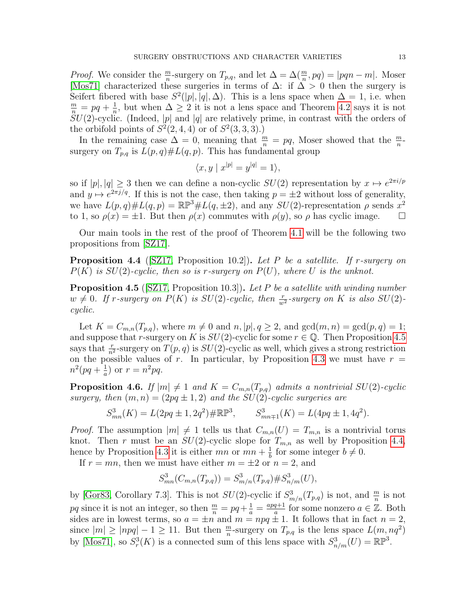*Proof.* We consider the  $\frac{m}{n}$ -surgery on  $T_{p,q}$ , and let  $\Delta = \Delta(\frac{m}{n}, pq) = |pqn - m|$ . Moser [\[Mos71\]](#page-28-15) characterized these surgeries in terms of  $\Delta$ : if  $\Delta > 0$  then the surgery is Seifert fibered with base  $S^2(|p|, |q|, \Delta)$ . This is a lens space when  $\Delta = 1$ , i.e. when  $\frac{m}{n} = pq + \frac{1}{n}$  $\frac{1}{n}$ , but when  $\Delta \geq 2$  it is not a lens space and Theorem [4.2](#page-11-3) says it is not  $SU(2)$ -cyclic. (Indeed, |p| and |q| are relatively prime, in contrast with the orders of the orbifold points of  $S^2(2,4,4)$  or of  $S^2(3,3,3)$ .)

In the remaining case  $\Delta = 0$ , meaning that  $\frac{m}{n} = pq$ , Moser showed that the  $\frac{m}{n}$ surgery on  $T_{p,q}$  is  $L(p,q) \# L(q,p)$ . This has fundamental group

$$
\langle x, y \mid x^{|p|} = y^{|q|} = 1 \rangle,
$$

so if  $|p|, |q| \geq 3$  then we can define a non-cyclic  $SU(2)$  representation by  $x \mapsto e^{2\pi i/p}$ and  $y \mapsto e^{2\pi i/q}$ . If this is not the case, then taking  $p = \pm 2$  without loss of generality, we have  $L(p,q) \# L(q,p) = \mathbb{RP}^3 \# L(q,\pm 2)$ , and any  $SU(2)$ -representation  $\rho$  sends  $x^2$ to 1, so  $\rho(x) = \pm 1$ . But then  $\rho(x)$  commutes with  $\rho(y)$ , so  $\rho$  has cyclic image.  $\square$ 

Our main tools in the rest of the proof of Theorem [4.1](#page-11-0) will be the following two propositions from [\[SZ17\]](#page-29-2).

<span id="page-12-2"></span>**Proposition 4.4** ([\[SZ17,](#page-29-2) Proposition 10.2]). Let P be a satellite. If r-surgery on  $P(K)$  is  $SU(2)$ -cyclic, then so is r-surgery on  $P(U)$ , where U is the unknot.

<span id="page-12-1"></span>**Proposition 4.5** ([\[SZ17,](#page-29-2) Proposition 10.3]). Let P be a satellite with winding number  $w \neq 0$ . If r-surgery on  $P(K)$  is  $SU(2)$ -cyclic, then  $\frac{r}{w^2}$ -surgery on K is also  $SU(2)$ cyclic.

Let  $K = C_{m,n}(T_{p,q})$ , where  $m \neq 0$  and  $n, |p|, q \geq 2$ , and  $gcd(m, n) = gcd(p, q) = 1$ ; and suppose that r-surgery on K is  $SU(2)$ -cyclic for some  $r \in \mathbb{Q}$ . Then Proposition [4.5](#page-12-1) says that  $\frac{r}{n^2}$ -surgery on  $T(p, q)$  is  $SU(2)$ -cyclic as well, which gives a strong restriction on the possible values of r. In particular, by Proposition [4.3](#page-11-2) we must have  $r =$  $n^2(pq+\frac{1}{q})$  $\frac{1}{a}$ ) or  $r = n^2pq$ .

<span id="page-12-0"></span>**Proposition 4.6.** If  $|m| \neq 1$  and  $K = C_{m,n}(T_{p,q})$  admits a nontrivial  $SU(2)$ -cyclic surgery, then  $(m, n) = (2pq \pm 1, 2)$  and the SU(2)-cyclic surgeries are

$$
S_{mn}^3(K) = L(2pq \pm 1, 2q^2) \# \mathbb{RP}^3, \qquad S_{mn \mp 1}^3(K) = L(4pq \pm 1, 4q^2).
$$

*Proof.* The assumption  $|m| \neq 1$  tells us that  $C_{m,n}(U) = T_{m,n}$  is a nontrivial torus knot. Then r must be an  $SU(2)$ -cyclic slope for  $T_{m,n}$  as well by Proposition [4.4,](#page-12-2) hence by Proposition [4.3](#page-11-2) it is either  $mn$  or  $mn + \frac{1}{b}$  $\frac{1}{b}$  for some integer  $b \neq 0$ .

If  $r = mn$ , then we must have either  $m = \pm 2$  or  $n = 2$ , and

$$
S_{mn}^3(C_{m,n}(T_{p,q})) = S_{m/n}^3(T_{p,q}) \# S_{n/m}^3(U),
$$

by [\[Gor83,](#page-28-20) Corollary 7.3]. This is not  $SU(2)$ -cyclic if  $S^3_{m/n}(T_{p,q})$  is not, and  $\frac{m}{n}$  is not pq since it is not an integer, so then  $\frac{m}{n} = pq + \frac{1}{a} = \frac{apq+1}{a}$  $\frac{q+1}{a}$  for some nonzero  $a \in \mathbb{Z}$ . Both sides are in lowest terms, so  $a = \pm n$  and  $m = npq \pm 1$ . It follows that in fact  $n = 2$ , since  $|m| \ge |npq| - 1 \ge 11$ . But then  $\frac{m}{n}$ -surgery on  $T_{p,q}$  is the lens space  $L(m, nq^2)$ by [\[Mos71\]](#page-28-15), so  $S_r^3(K)$  is a connected sum of this lens space with  $S^3_{n/m}(U) = \mathbb{RP}^3$ .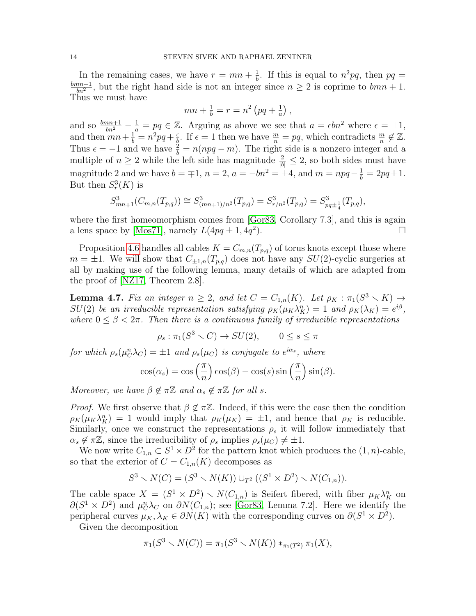In the remaining cases, we have  $r = mn + \frac{1}{b}$  $\frac{1}{b}$ . If this is equal to  $n^2pq$ , then  $pq =$  $_{bmn+1}$  $\frac{mn+1}{bn^2}$ , but the right hand side is not an integer since  $n \geq 2$  is coprime to  $bmn + 1$ . Thus we must have

$$
mn + \frac{1}{b} = r = n^2 (pq + \frac{1}{a}),
$$

and so  $\frac{bm+1}{bn^2} - \frac{1}{a} = pq \in \mathbb{Z}$ . Arguing as above we see that  $a = \epsilon bn^2$  where  $\epsilon = \pm 1$ , and then  $mn + \frac{1}{b} = n^2pq + \frac{1}{b}$  $\frac{\epsilon}{b}$ . If  $\epsilon = 1$  then we have  $\frac{m}{n} = pq$ , which contradicts  $\frac{m}{n} \notin \mathbb{Z}$ . Thus  $\epsilon = -1$  and we have  $\frac{2}{b} = n(npq - m)$ . The right side is a nonzero integer and a multiple of  $n \geq 2$  while the left side has magnitude  $\frac{2}{|b|} \leq 2$ , so both sides must have magnitude 2 and we have  $b = \pm 1$ ,  $n = 2$ ,  $a = -bn^2 = \pm 4$ , and  $m = npq - \frac{1}{b} = 2pq \pm 1$ . But then  $S_r^3(K)$  is

$$
S_{mn\mp 1}^3(C_{m,n}(T_{p,q})) \cong S_{(mn\mp 1)/n^2}^3(T_{p,q}) = S_{r/n^2}^3(T_{p,q}) = S_{pq\pm \frac{1}{4}}^3(T_{p,q}),
$$

where the first homeomorphism comes from [\[Gor83,](#page-28-20) Corollary 7.3], and this is again a lens space by [\[Mos71\]](#page-28-15), namely  $L(4pq \pm 1, 4q^2)$ ).  $\qquad \qquad \Box$ 

Proposition [4.6](#page-12-0) handles all cables  $K = C_{m,n}(T_{p,q})$  of torus knots except those where  $m = \pm 1$ . We will show that  $C_{\pm 1,n}(T_{p,q})$  does not have any  $SU(2)$ -cyclic surgeries at all by making use of the following lemma, many details of which are adapted from the proof of [\[NZ17,](#page-28-12) Theorem 2.8].

<span id="page-13-0"></span>**Lemma 4.7.** Fix an integer  $n \geq 2$ , and let  $C = C_{1,n}(K)$ . Let  $\rho_K : \pi_1(S^3 \setminus K) \to$  $SU(2)$  be an irreducible representation satisfying  $\rho_K(\mu_K \lambda_K^n) = 1$  and  $\rho_K(\lambda_K) = e^{i\beta}$ , where  $0 \leq \beta < 2\pi$ . Then there is a continuous family of irreducible representations

 $\rho_s : \pi_1(S^3 \setminus C) \to SU(2), \qquad 0 \le s \le \pi$ 

for which  $\rho_s(\mu_C^n \lambda_C) = \pm 1$  and  $\rho_s(\mu_C)$  is conjugate to  $e^{i\alpha_s}$ , where

$$
\cos(\alpha_s) = \cos\left(\frac{\pi}{n}\right)\cos(\beta) - \cos(s)\sin\left(\frac{\pi}{n}\right)\sin(\beta).
$$

Moreover, we have  $\beta \notin \pi \mathbb{Z}$  and  $\alpha_s \notin \pi \mathbb{Z}$  for all s.

*Proof.* We first observe that  $\beta \notin \pi \mathbb{Z}$ . Indeed, if this were the case then the condition  $\rho_K(\mu_K \lambda_K^n) = 1$  would imply that  $\rho_K(\mu_K) = \pm 1$ , and hence that  $\rho_K$  is reducible. Similarly, once we construct the representations  $\rho_s$  it will follow immediately that  $\alpha_s \notin \pi \mathbb{Z}$ , since the irreducibility of  $\rho_s$  implies  $\rho_s(\mu_C) \neq \pm 1$ .

We now write  $C_{1,n} \subset S^1 \times D^2$  for the pattern knot which produces the  $(1, n)$ -cable, so that the exterior of  $C = C_{1,n}(K)$  decomposes as

$$
S^3 \setminus N(C) = (S^3 \setminus N(K)) \cup_{T^2} ((S^1 \times D^2) \setminus N(C_{1,n})).
$$

The cable space  $X = (S^1 \times D^2) \setminus N(C_{1,n})$  is Seifert fibered, with fiber  $\mu_K \lambda_K^n$  on  $\partial(S^1 \times D^2)$  and  $\mu_C^n \lambda_C$  on  $\partial N(C_{1,n})$ ; see [\[Gor83,](#page-28-20) Lemma 7.2]. Here we identify the peripheral curves  $\mu_K, \lambda_K \in \partial N(K)$  with the corresponding curves on  $\partial (S^1 \times D^2)$ .

Given the decomposition

$$
\pi_1(S^3 \setminus N(C)) = \pi_1(S^3 \setminus N(K)) *_{\pi_1(T^2)} \pi_1(X),
$$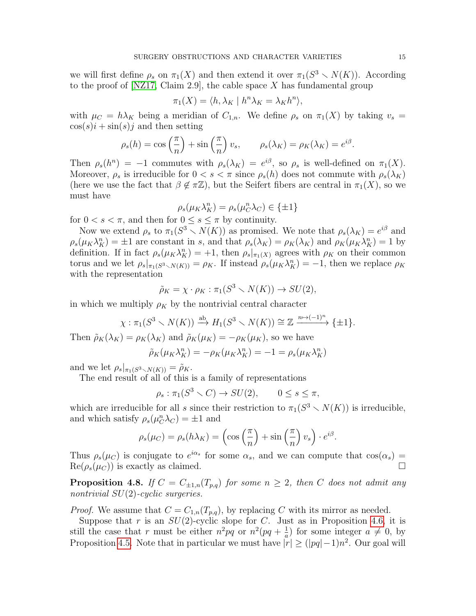we will first define  $\rho_s$  on  $\pi_1(X)$  and then extend it over  $\pi_1(S^3 \setminus N(K))$ . According to the proof of [\[NZ17,](#page-28-12) Claim 2.9], the cable space X has fundamental group

$$
\pi_1(X) = \langle h, \lambda_K \mid h^n \lambda_K = \lambda_K h^n \rangle,
$$

with  $\mu_C = h\lambda_K$  being a meridian of  $C_{1,n}$ . We define  $\rho_s$  on  $\pi_1(X)$  by taking  $v_s =$  $\cos(s)i + \sin(s)j$  and then setting

$$
\rho_s(h) = \cos\left(\frac{\pi}{n}\right) + \sin\left(\frac{\pi}{n}\right)v_s, \qquad \rho_s(\lambda_K) = \rho_K(\lambda_K) = e^{i\beta}.
$$

Then  $\rho_s(h^n) = -1$  commutes with  $\rho_s(\lambda_K) = e^{i\beta}$ , so  $\rho_s$  is well-defined on  $\pi_1(X)$ . Moreover,  $\rho_s$  is irreducible for  $0 < s < \pi$  since  $\rho_s(h)$  does not commute with  $\rho_s(\lambda_K)$ (here we use the fact that  $\beta \notin \pi \mathbb{Z}$ ), but the Seifert fibers are central in  $\pi_1(X)$ , so we must have

$$
\rho_s(\mu_K \lambda_K^n) = \rho_s(\mu_C^n \lambda_C) \in \{\pm 1\}
$$

for  $0 < s < \pi$ , and then for  $0 \le s \le \pi$  by continuity.

Now we extend  $\rho_s$  to  $\pi_1(S^3 \setminus N(K))$  as promised. We note that  $\rho_s(\lambda_K) = e^{i\beta}$  and  $\rho_s(\mu_K \lambda_K^n) = \pm 1$  are constant in s, and that  $\rho_s(\lambda_K) = \rho_K(\lambda_K)$  and  $\rho_K(\mu_K \lambda_K^n) = 1$  by definition. If in fact  $\rho_s(\mu_K \lambda_K^n) = +1$ , then  $\rho_s|_{\pi_1(X)}$  agrees with  $\rho_K$  on their common torus and we let  $\rho_s|_{\pi_1(S^3 \setminus N(K))} = \rho_K$ . If instead  $\rho_s(\mu_K \lambda_K^n) = -1$ , then we replace  $\rho_K$ with the representation

$$
\tilde{\rho}_K = \chi \cdot \rho_K : \pi_1(S^3 \smallsetminus N(K)) \to SU(2),
$$

in which we multiply  $\rho_K$  by the nontrivial central character

$$
\chi: \pi_1(S^3 \setminus N(K)) \xrightarrow{\mathrm{ab}} H_1(S^3 \setminus N(K)) \cong \mathbb{Z} \xrightarrow{n \mapsto (-1)^n} \{\pm 1\}.
$$

Then  $\tilde{\rho}_K(\lambda_K) = \rho_K(\lambda_K)$  and  $\tilde{\rho}_K(\mu_K) = -\rho_K(\mu_K)$ , so we have

$$
\tilde{\rho}_K(\mu_K \lambda_K^n) = -\rho_K(\mu_K \lambda_K^n) = -1 = \rho_s(\mu_K \lambda_K^n)
$$

and we let  $\rho_s|_{\pi_1(S^3 \setminus N(K))} = \tilde{\rho}_K$ .

The end result of all of this is a family of representations

$$
\rho_s: \pi_1(S^3 \setminus C) \to SU(2), \qquad 0 \le s \le \pi,
$$

which are irreducible for all s since their restriction to  $\pi_1(S^3 \setminus N(K))$  is irreducible, and which satisfy  $\rho_s(\mu_C^n \lambda_C) = \pm 1$  and

$$
\rho_s(\mu_C) = \rho_s(h\lambda_K) = \left(\cos\left(\frac{\pi}{n}\right) + \sin\left(\frac{\pi}{n}\right)v_s\right) \cdot e^{i\beta}
$$

.

Thus  $\rho_s(\mu_C)$  is conjugate to  $e^{i\alpha_s}$  for some  $\alpha_s$ , and we can compute that  $\cos(\alpha_s)$  =  $\text{Re}(\rho_s(\mu_C))$  is exactly as claimed.

<span id="page-14-0"></span>**Proposition 4.8.** If  $C = C_{\pm 1,n}(T_{p,q})$  for some  $n \geq 2$ , then C does not admit any nontrivial  $SU(2)$ -cyclic surgeries.

*Proof.* We assume that  $C = C_{1,n}(T_{p,q})$ , by replacing C with its mirror as needed.

Suppose that r is an  $SU(2)$ -cyclic slope for C. Just as in Proposition [4.6,](#page-12-0) it is still the case that r must be either  $n^2pq$  or  $n^2(pq + \frac{1}{q})$  $\frac{1}{a}$ ) for some integer  $a \neq 0$ , by Proposition [4.5.](#page-12-1) Note that in particular we must have  $|r| \geq (|pq|-1)n^2$ . Our goal will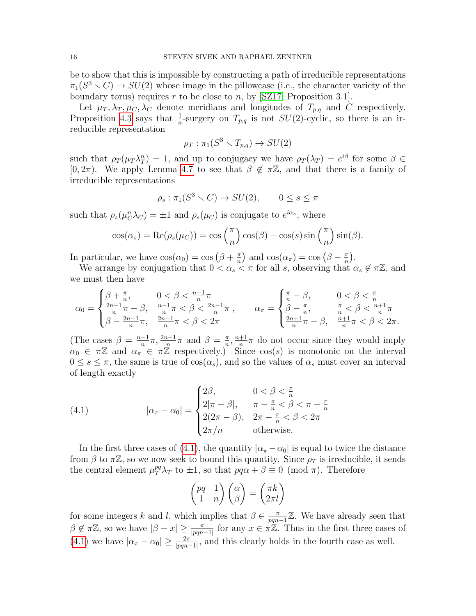be to show that this is impossible by constructing a path of irreducible representations  $\pi_1(S^3 \setminus C) \to SU(2)$  whose image in the pillowcase (i.e., the character variety of the boundary torus) requires r to be close to n, by [\[SZ17,](#page-29-2) Proposition 3.1].

Let  $\mu_T, \lambda_T, \mu_C, \lambda_C$  denote meridians and longitudes of  $T_{p,q}$  and C respectively. Proposition [4.3](#page-11-2) says that  $\frac{1}{n}$ -surgery on  $T_{p,q}$  is not  $SU(2)$ -cyclic, so there is an irreducible representation

$$
\rho_T : \pi_1(S^3 \smallsetminus T_{p,q}) \to SU(2)
$$

such that  $\rho_T(\mu_T \lambda_T^n) = 1$ , and up to conjugacy we have  $\rho_T(\lambda_T) = e^{i\beta}$  for some  $\beta \in$ [0, 2π). We apply Lemma [4.7](#page-13-0) to see that  $\beta \notin \pi \mathbb{Z}$ , and that there is a family of irreducible representations

$$
\rho_s: \pi_1(S^3 \smallsetminus C) \to SU(2), \qquad 0 \le s \le \pi
$$

such that  $\rho_s(\mu_C^n \lambda_C) = \pm 1$  and  $\rho_s(\mu_C)$  is conjugate to  $e^{i\alpha_s}$ , where

$$
\cos(\alpha_s) = \text{Re}(\rho_s(\mu_C)) = \cos\left(\frac{\pi}{n}\right)\cos(\beta) - \cos(s)\sin\left(\frac{\pi}{n}\right)\sin(\beta).
$$

In particular, we have  $\cos(\alpha_0) = \cos(\beta + \frac{\pi}{n})$  $\left(\frac{\pi}{n}\right)$  and  $\cos(\alpha_{\pi}) = \cos(\beta - \frac{\pi}{n})$  $\frac{\pi}{n}$ .

We arrange by conjugation that  $0 < \alpha_s < \pi$  for all s, observing that  $\alpha_s \notin \pi \mathbb{Z}$ , and we must then have

$$
\alpha_0 = \begin{cases} \n\beta + \frac{\pi}{n}, & 0 < \beta < \frac{n-1}{n}\pi \\ \n\frac{2n-1}{n}\pi - \beta, & \frac{n-1}{n}\pi < \beta < \frac{2n-1}{n}\pi \\ \n\beta - \frac{2n-1}{n}\pi, & \frac{2n-1}{n}\pi < \beta < 2\pi \n\end{cases}, \qquad \alpha_\pi = \begin{cases} \n\frac{\pi}{n} - \beta, & 0 < \beta < \frac{\pi}{n} \\ \n\beta - \frac{\pi}{n}, & \frac{\pi}{n} < \beta < \frac{n+1}{n}\pi \\ \n\frac{2n+1}{n}\pi - \beta, & \frac{n+1}{n}\pi < \beta < 2\pi. \n\end{cases}
$$

(The cases  $\beta = \frac{n-1}{n}$  $\frac{-1}{n}\pi, \frac{2n-1}{n}\pi$  and  $\beta = \frac{\pi}{n}$  $\frac{\pi}{n}$ ,  $\frac{n+1}{n}$  $\frac{+1}{n}\pi$  do not occur since they would imply  $\alpha_0 \in \pi \mathbb{Z}$  and  $\alpha_{\pi} \in \pi \mathbb{Z}$  respectively.) Since  $\cos(s)$  is monotonic on the interval  $0 \leq s \leq \pi$ , the same is true of  $\cos(\alpha_s)$ , and so the values of  $\alpha_s$  must cover an interval of length exactly

<span id="page-15-0"></span>(4.1) 
$$
|\alpha_{\pi} - \alpha_0| = \begin{cases} 2\beta, & 0 < \beta < \frac{\pi}{n} \\ 2|\pi - \beta|, & \pi - \frac{\pi}{n} < \beta < \pi + \frac{\pi}{n} \\ 2(2\pi - \beta), & 2\pi - \frac{\pi}{n} < \beta < 2\pi \\ 2\pi/n & \text{otherwise.} \end{cases}
$$

In the first three cases of [\(4.1\)](#page-15-0), the quantity  $|\alpha_{\pi} - \alpha_0|$  is equal to twice the distance from  $\beta$  to  $\pi\mathbb{Z}$ , so we now seek to bound this quantity. Since  $\rho_T$  is irreducible, it sends the central element  $\mu_T^{pq} \lambda_T$  to  $\pm 1$ , so that  $pq\alpha + \beta \equiv 0 \pmod{\pi}$ . Therefore

$$
\begin{pmatrix} pq & 1 \ 1 & n \end{pmatrix} \begin{pmatrix} \alpha \\ \beta \end{pmatrix} = \begin{pmatrix} \pi k \\ 2\pi l \end{pmatrix}
$$

for some integers k and l, which implies that  $\beta \in \frac{\pi}{nm}$  $\frac{\pi}{pqn-1}\mathbb{Z}$ . We have already seen that  $\beta \notin \pi \mathbb{Z}$ , so we have  $|\beta - x| \geq \frac{\pi}{|pqn-1|}$  for any  $x \in \pi \mathbb{Z}$ . Thus in the first three cases of [\(4.1\)](#page-15-0) we have  $|\alpha_{\pi} - \alpha_0| \geq \frac{2\pi}{|pqn-1|}$ , and this clearly holds in the fourth case as well.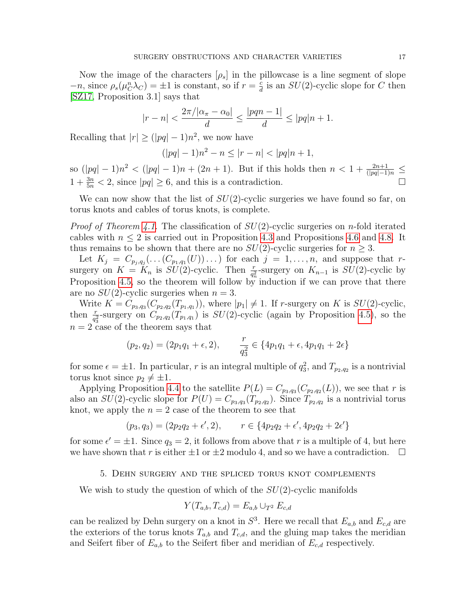Now the image of the characters  $[\rho_s]$  in the pillowcase is a line segment of slope  $-n$ , since  $\rho_s(\mu_C^n \lambda_C) = \pm 1$  is constant, so if  $r = \frac{c}{d}$  $\frac{c}{d}$  is an  $SU(2)$ -cyclic slope for C then [\[SZ17,](#page-29-2) Proposition 3.1] says that

$$
|r - n| < \frac{2\pi/|\alpha_{\pi} - \alpha_0|}{d} \le \frac{|pqn - 1|}{d} \le |pq|n + 1.
$$

Recalling that  $|r| \geq (|pq|-1)n^2$ , we now have

$$
(|pq| - 1)n^2 - n \le |r - n| < |pq|n + 1,
$$

so  $(|pq| - 1)n^2 < (|pq| - 1)n + (2n + 1)$ . But if this holds then  $n < 1 + \frac{2n+1}{(|pq|-1)n} \le$  $1 + \frac{3n}{5n} < 2$ , since  $|pq| \ge 6$ , and this is a contradiction.

We can now show that the list of  $SU(2)$ -cyclic surgeries we have found so far, on torus knots and cables of torus knots, is complete.

*Proof of Theorem [4.1.](#page-11-0)* The classification of  $SU(2)$ -cyclic surgeries on *n*-fold iterated cables with  $n \leq 2$  is carried out in Proposition [4.3](#page-11-2) and Propositions [4.6](#page-12-0) and [4.8.](#page-14-0) It thus remains to be shown that there are no  $SU(2)$ -cyclic surgeries for  $n > 3$ .

Let  $K_j = C_{p_j,q_j}(\ldots(C_{p_1,q_1}(U))\ldots)$  for each  $j = 1,\ldots,n$ , and suppose that rsurgery on  $K = K_n$  is  $SU(2)$ -cyclic. Then  $\frac{r}{q_n^2}$ -surgery on  $K_{n-1}$  is  $SU(2)$ -cyclic by Proposition [4.5,](#page-12-1) so the theorem will follow by induction if we can prove that there are no  $SU(2)$ -cyclic surgeries when  $n = 3$ .

Write  $K = C_{p_3,q_3}(C_{p_2,q_2}(T_{p_1,q_1}))$ , where  $|p_1| \neq 1$ . If r-surgery on K is  $SU(2)$ -cyclic, then  $\frac{r}{q_3^2}$ -surgery on  $C_{p_2,q_2}(T_{p_1,q_1})$  is  $SU(2)$ -cyclic (again by Proposition [4.5\)](#page-12-1), so the  $n = 2$  case of the theorem says that

$$
(p_2, q_2) = (2p_1q_1 + \epsilon, 2),
$$
  $\frac{r}{q_3^2} \in \{4p_1q_1 + \epsilon, 4p_1q_1 + 2\epsilon\}$ 

for some  $\epsilon = \pm 1$ . In particular, r is an integral multiple of  $q_3^2$ , and  $T_{p_2,q_2}$  is a nontrivial torus knot since  $p_2 \neq \pm 1$ .

Applying Proposition [4.4](#page-12-2) to the satellite  $P(L) = C_{p_3,q_3}(C_{p_2,q_2}(L))$ , we see that r is also an  $SU(2)$ -cyclic slope for  $P(U) = C_{p_3,q_3}(T_{p_2,q_2})$ . Since  $T_{p_2,q_2}$  is a nontrivial torus knot, we apply the  $n = 2$  case of the theorem to see that

$$
(p_3, q_3) = (2p_2q_2 + \epsilon', 2), \qquad r \in \{4p_2q_2 + \epsilon', 4p_2q_2 + 2\epsilon'\}
$$

for some  $\epsilon' = \pm 1$ . Since  $q_3 = 2$ , it follows from above that r is a multiple of 4, but here we have shown that r is either  $\pm 1$  or  $\pm 2$  modulo 4, and so we have a contradiction.  $\Box$ 

### 5. Dehn surgery and the spliced torus knot complements

<span id="page-16-0"></span>We wish to study the question of which of the  $SU(2)$ -cyclic manifolds

$$
Y(T_{a,b}, T_{c,d}) = E_{a,b} \cup_{T^2} E_{c,d}
$$

can be realized by Dehn surgery on a knot in  $S^3$ . Here we recall that  $E_{a,b}$  and  $E_{c,d}$  are the exteriors of the torus knots  $T_{a,b}$  and  $T_{c,d}$ , and the gluing map takes the meridian and Seifert fiber of  $E_{a,b}$  to the Seifert fiber and meridian of  $E_{c,d}$  respectively.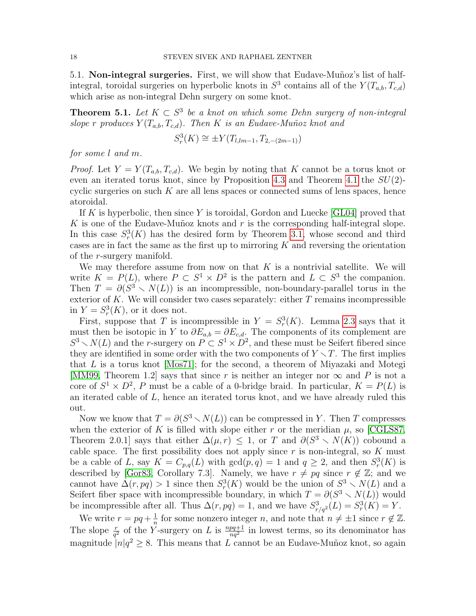5.1. Non-integral surgeries. First, we will show that Eudave-Munoz's list of halfintegral, toroidal surgeries on hyperbolic knots in  $S^3$  contains all of the  $Y(T_{a,b}, T_{c,d})$ which arise as non-integral Dehn surgery on some knot.

<span id="page-17-0"></span>**Theorem 5.1.** Let  $K \subset S^3$  be a knot on which some Dehn surgery of non-integral slope r produces  $Y(T_{a,b}, T_{c,d})$ . Then K is an Eudave-Muñoz knot and

$$
S_r^3(K) \cong \pm Y(T_{l,lm-1}, T_{2,-(2m-1)})
$$

for some l and m.

*Proof.* Let  $Y = Y(T_{a,b}, T_{c,d})$ . We begin by noting that K cannot be a torus knot or even an iterated torus knot, since by Proposition [4.3](#page-11-2) and Theorem [4.1](#page-11-0) the  $SU(2)$ cyclic surgeries on such  $K$  are all lens spaces or connected sums of lens spaces, hence atoroidal.

If K is hyperbolic, then since Y is toroidal, Gordon and Luecke  $|GL04|$  proved that K is one of the Eudave-Muñoz knots and  $r$  is the corresponding half-integral slope. In this case  $S_r^3(K)$  has the desired form by Theorem [3.1,](#page-6-0) whose second and third cases are in fact the same as the first up to mirroring  $K$  and reversing the orientation of the r-surgery manifold.

We may therefore assume from now on that  $K$  is a nontrivial satellite. We will write  $K = P(L)$ , where  $P \subset S^1 \times D^2$  is the pattern and  $L \subset S^3$  the companion. Then  $T = \partial(S^3 \setminus N(L))$  is an incompressible, non-boundary-parallel torus in the exterior of K. We will consider two cases separately: either  $T$  remains incompressible in  $Y = S_r^3(K)$ , or it does not.

First, suppose that T is incompressible in  $Y = S_r^3(K)$ . Lemma [2.3](#page-4-1) says that it must then be isotopic in Y to  $\partial E_{a,b} = \partial E_{c,d}$ . The components of its complement are  $S^3 \setminus N(L)$  and the r-surgery on  $P \subset S^1 \times D^2$ , and these must be Seifert fibered since they are identified in some order with the two components of  $Y \setminus T$ . The first implies that  $L$  is a torus knot [\[Mos71\]](#page-28-15); for the second, a theorem of Miyazaki and Motegi [\[MM99,](#page-28-21) Theorem 1.2] says that since r is neither an integer nor  $\infty$  and P is not a core of  $S^1 \times D^2$ , P must be a cable of a 0-bridge braid. In particular,  $K = P(L)$  is an iterated cable of L, hence an iterated torus knot, and we have already ruled this out.

Now we know that  $T = \partial(S^3 \setminus N(L))$  can be compressed in Y. Then T compresses when the exterior of K is filled with slope either r or the meridian  $\mu$ , so [\[CGLS87,](#page-28-22) Theorem 2.0.1] says that either  $\Delta(\mu, r) \leq 1$ , or T and  $\partial(S^3 \setminus N(K))$  cobound a cable space. The first possibility does not apply since  $r$  is non-integral, so  $K$  must be a cable of L, say  $K = C_{p,q}(L)$  with  $gcd(p,q) = 1$  and  $q \ge 2$ , and then  $S_r^3(K)$  is described by [\[Gor83,](#page-28-20) Corollary 7.3]. Namely, we have  $r \neq pq$  since  $r \notin \mathbb{Z}$ ; and we cannot have  $\Delta(r, pq) > 1$  since then  $S_r^3(K)$  would be the union of  $S^3 \setminus N(L)$  and a Seifert fiber space with incompressible boundary, in which  $T = \partial (S^3 \setminus N(\tilde{L}))$  would be incompressible after all. Thus  $\Delta(r, pq) = 1$ , and we have  $S^3_{r/q^2}(L) = S^3_r(K) = Y$ .

We write  $r = pq + \frac{1}{n}$  $\frac{1}{n}$  for some nonzero integer *n*, and note that  $n \neq \pm 1$  since  $r \notin \mathbb{Z}$ . The slope  $\frac{r}{q^2}$  of the Y-surgery on L is  $\frac{npq+1}{nq^2}$  in lowest terms, so its denominator has magnitude  $|n|q^2 \geq 8$ . This means that L cannot be an Eudave-Muñoz knot, so again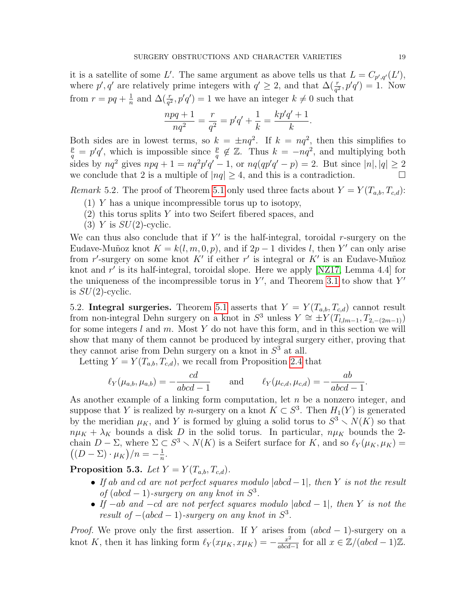it is a satellite of some L'. The same argument as above tells us that  $L = C_{p',q'}(L'),$ where  $p', q'$  are relatively prime integers with  $q' \geq 2$ , and that  $\Delta(\frac{r}{q^2}, p'q') = 1$ . Now from  $r = pq + \frac{1}{n}$  $\frac{1}{n}$  and  $\Delta(\frac{r}{q^2}, p'q') = 1$  we have an integer  $k \neq 0$  such that

$$
\frac{npq+1}{nq^2} = \frac{r}{q^2} = p'q' + \frac{1}{k} = \frac{kp'q'+1}{k}.
$$

Both sides are in lowest terms, so  $k = \pm nq^2$ . If  $k = nq^2$ , then this simplifies to  $\frac{p}{q} = p'q'$ , which is impossible since  $\frac{p}{q} \notin \mathbb{Z}$ . Thus  $k = -nq^2$ , and multiplying both sides by  $nq^2$  gives  $npq + 1 = nq^2p'q' - 1$ , or  $nq(qp'q' - p) = 2$ . But since  $|n|, |q| \ge 2$ we conclude that 2 is a multiple of  $|nq| \geq 4$ , and this is a contradiction.

Remark 5.2. The proof of Theorem [5.1](#page-17-0) only used three facts about  $Y = Y(T_{a,b}, T_{c,d})$ :

- (1) Y has a unique incompressible torus up to isotopy,
- (2) this torus splits Y into two Seifert fibered spaces, and
- (3) Y is  $SU(2)$ -cyclic.

We can thus also conclude that if  $Y'$  is the half-integral, toroidal r-surgery on the Eudave-Muñoz knot  $K = k(l, m, 0, p)$ , and if  $2p - 1$  divides l, then Y' can only arise from r'-surgery on some knot K' if either r' is integral or K' is an Eudave-Muñoz knot and  $r'$  is its half-integral, toroidal slope. Here we apply [\[NZ17,](#page-28-12) Lemma 4.4] for the uniqueness of the incompressible torus in  $Y'$ , and Theorem [3.1](#page-6-0) to show that  $Y'$ is  $SU(2)$ -cyclic.

5.2. Integral surgeries. Theorem [5.1](#page-17-0) asserts that  $Y = Y(T_{a,b}, T_{c,d})$  cannot result from non-integral Dehn surgery on a knot in  $S^3$  unless  $Y \cong \pm Y(T_{l,lm-1}, T_{2,-(2m-1)})$ for some integers  $l$  and  $m$ . Most  $Y$  do not have this form, and in this section we will show that many of them cannot be produced by integral surgery either, proving that they cannot arise from Dehn surgery on a knot in  $S<sup>3</sup>$  at all.

Letting  $Y = Y(T_{a,b}, T_{c,d})$ , we recall from Proposition [2.4](#page-4-2) that

$$
\ell_Y(\mu_{a,b}, \mu_{a,b}) = -\frac{cd}{abcd - 1} \quad \text{and} \quad \ell_Y(\mu_{c,d}, \mu_{c,d}) = -\frac{ab}{abcd - 1}
$$

As another example of a linking form computation, let  $n$  be a nonzero integer, and suppose that Y is realized by n-surgery on a knot  $K \subset S^3$ . Then  $H_1(Y)$  is generated by the meridian  $\mu_K$ , and Y is formed by gluing a solid torus to  $S^3 \setminus N(K)$  so that  $n\mu_K + \lambda_K$  bounds a disk D in the solid torus. In particular,  $n\mu_K$  bounds the 2chain  $D - \Sigma$ , where  $\Sigma \subset S^3 \setminus N(K)$  is a Seifert surface for K, and so  $\ell_Y(\mu_K, \mu_K) =$  $((D - \Sigma) \cdot \mu_K)/n = -\frac{1}{n}$  $\frac{1}{n}$ .

<span id="page-18-0"></span>Proposition 5.3. Let  $Y = Y(T_{a,b}, T_{c,d})$ .

- If ab and cd are not perfect squares modulo  $|abcd-1|$ , then Y is not the result of  $(abcd-1)$ -surgery on any knot in  $S^3$ .
- If  $-ab$  and  $-cd$  are not perfect squares modulo  $|abcd-1|$ , then Y is not the result of  $-(abcd-1)$ -surgery on any knot in  $S^3$ .

*Proof.* We prove only the first assertion. If Y arises from  $(abcd-1)$ -surgery on a knot K, then it has linking form  $\ell_Y (x\mu_K, x\mu_K) = -\frac{x^2}{abcd}$  $\frac{x^2}{abcd-1}$  for all  $x \in \mathbb{Z}/(abcd-1)\mathbb{Z}$ .

.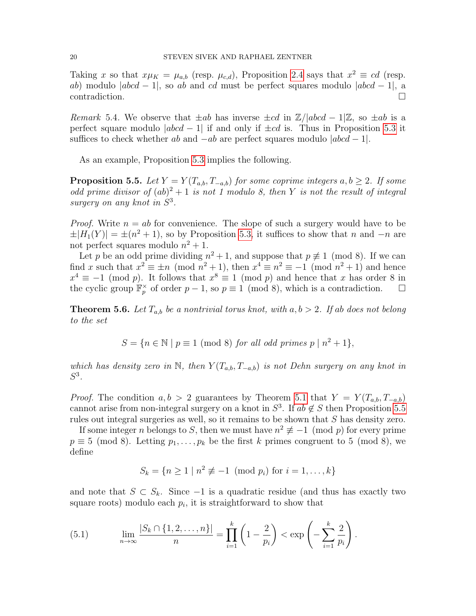Taking x so that  $x\mu_K = \mu_{a,b}$  (resp.  $\mu_{c,d}$ ), Proposition [2.4](#page-4-2) says that  $x^2 \equiv cd$  (resp. ab) modulo  $|abcd - 1|$ , so ab and cd must be perfect squares modulo  $|abcd - 1|$ , a contradiction.

Remark 5.4. We observe that  $\pm ab$  has inverse  $\pm cd$  in  $\mathbb{Z}/|abcd-1|\mathbb{Z}$ , so  $\pm ab$  is a perfect square modulo  $|abcd - 1|$  if and only if  $\pm cd$  is. Thus in Proposition [5.3](#page-18-0) it suffices to check whether ab and  $-ab$  are perfect squares modulo  $|abcd-1|$ .

As an example, Proposition [5.3](#page-18-0) implies the following.

<span id="page-19-1"></span>**Proposition 5.5.** Let  $Y = Y(T_{a,b}, T_{-a,b})$  for some coprime integers  $a, b \geq 2$ . If some odd prime divisor of  $(ab)^2 + 1$  is not 1 modulo 8, then Y is not the result of integral surgery on any knot in  $S^3$ .

*Proof.* Write  $n = ab$  for convenience. The slope of such a surgery would have to be  $\pm |H_1(Y)| = \pm (n^2 + 1)$ , so by Proposition [5.3,](#page-18-0) it suffices to show that n and  $-n$  are not perfect squares modulo  $n^2 + 1$ .

Let p be an odd prime dividing  $n^2 + 1$ , and suppose that  $p \neq 1 \pmod{8}$ . If we can find x such that  $x^2 \equiv \pm n \pmod{n^2 + 1}$ , then  $x^4 \equiv n^2 \equiv -1 \pmod{n^2 + 1}$  and hence  $x^4 \equiv -1 \pmod{p}$ . It follows that  $x^8 \equiv 1 \pmod{p}$  and hence that x has order 8 in the cyclic group  $\mathbb{F}_p^{\times}$  of order  $p-1$ , so  $p \equiv 1 \pmod{8}$ , which is a contradiction.  $\Box$ 

<span id="page-19-0"></span>**Theorem 5.6.** Let  $T_{a,b}$  be a nontrivial torus knot, with  $a, b > 2$ . If ab does not belong to the set

$$
S = \{ n \in \mathbb{N} \mid p \equiv 1 \pmod{8} \text{ for all odd primes } p \mid n^2 + 1 \},
$$

which has density zero in N, then  $Y(T_{a,b}, T_{-a,b})$  is not Dehn surgery on any knot in  $S^3$ .

*Proof.* The condition  $a, b > 2$  guarantees by Theorem [5.1](#page-17-0) that  $Y = Y(T_{a,b}, T_{-a,b})$ cannot arise from non-integral surgery on a knot in  $S^3$ . If  $ab \notin S$  then Proposition [5.5](#page-19-1) rules out integral surgeries as well, so it remains to be shown that S has density zero.

If some integer *n* belongs to *S*, then we must have  $n^2 \not\equiv -1 \pmod{p}$  for every prime  $p \equiv 5 \pmod{8}$ . Letting  $p_1, \ldots, p_k$  be the first k primes congruent to 5 (mod 8), we define

$$
S_k = \{n \ge 1 \mid n^2 \not\equiv -1 \pmod{p_i} \text{ for } i = 1, ..., k\}
$$

and note that  $S \subset S_k$ . Since  $-1$  is a quadratic residue (and thus has exactly two square roots) modulo each  $p_i$ , it is straightforward to show that

<span id="page-19-2"></span>(5.1) 
$$
\lim_{n \to \infty} \frac{|S_k \cap \{1, 2, \dots, n\}|}{n} = \prod_{i=1}^k \left(1 - \frac{2}{p_i}\right) < \exp\left(-\sum_{i=1}^k \frac{2}{p_i}\right).
$$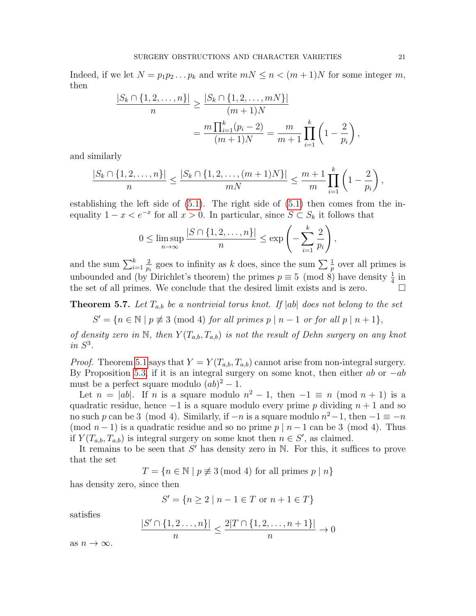Indeed, if we let  $N = p_1 p_2 \dots p_k$  and write  $mN \leq n < (m+1)N$  for some integer m, then

$$
\frac{|S_k \cap \{1, 2, \dots, n\}|}{n} \ge \frac{|S_k \cap \{1, 2, \dots, mN\}|}{(m+1)N}
$$

$$
= \frac{m \prod_{i=1}^k (p_i - 2)}{(m+1)N} = \frac{m}{m+1} \prod_{i=1}^k \left(1 - \frac{2}{p_i}\right),
$$

and similarly

$$
\frac{|S_k \cap \{1, 2, \dots, n\}|}{n} \le \frac{|S_k \cap \{1, 2, \dots, (m+1)N\}|}{mN} \le \frac{m+1}{m} \prod_{i=1}^k \left(1 - \frac{2}{p_i}\right),
$$

establishing the left side of  $(5.1)$ . The right side of  $(5.1)$  then comes from the inequality  $1 - x < e^{-x}$  for all  $x > 0$ . In particular, since  $S \subset S_k$  it follows that

$$
0 \leq \limsup_{n \to \infty} \frac{|S \cap \{1, 2, \dots, n\}|}{n} \leq \exp\left(-\sum_{i=1}^k \frac{2}{p_i}\right),
$$

and the sum  $\sum_{i=1}^{k}$ 2  $\frac{2}{p_i}$  goes to infinity as k does, since the sum  $\sum \frac{1}{p}$  over all primes is unbounded and (by Dirichlet's theorem) the primes  $p \equiv 5 \pmod{8}$  have density  $\frac{1}{4}$  in the set of all primes. We conclude that the desired limit exists and is zero.

<span id="page-20-0"></span>**Theorem 5.7.** Let  $T_{a,b}$  be a nontrivial torus knot. If  $|ab|$  does not belong to the set

$$
S' = \{ n \in \mathbb{N} \mid p \not\equiv 3 \pmod{4} \text{ for all primes } p \mid n-1 \text{ or for all } p \mid n+1 \},
$$

of density zero in N, then  $Y(T_{a,b}, T_{a,b})$  is not the result of Dehn surgery on any knot in  $S^3$ .

*Proof.* Theorem [5.1](#page-17-0) says that  $Y = Y(T_{a,b}, T_{a,b})$  cannot arise from non-integral surgery. By Proposition [5.3,](#page-18-0) if it is an integral surgery on some knot, then either ab or  $-ab$ must be a perfect square modulo  $(ab)^2 - 1$ .

Let  $n = |ab|$ . If n is a square modulo  $n^2 - 1$ , then  $-1 \equiv n \pmod{n+1}$  is a quadratic residue, hence  $-1$  is a square modulo every prime p dividing  $n + 1$  and so no such p can be 3 (mod 4). Similarly, if  $-n$  is a square modulo  $n^2-1$ , then  $-1 \equiv -n$ (mod  $n-1$ ) is a quadratic residue and so no prime  $p \mid n-1$  can be 3 (mod 4). Thus if  $Y(T_{a,b}, T_{a,b})$  is integral surgery on some knot then  $n \in S'$ , as claimed.

It remains to be seen that  $S'$  has density zero in N. For this, it suffices to prove that the set

 $T = \{n \in \mathbb{N} \mid p \not\equiv 3 \pmod{4} \text{ for all primes } p \mid n\}$ 

has density zero, since then

 $\vert$ 

$$
S' = \{ n \ge 2 \mid n - 1 \in T \text{ or } n + 1 \in T \}
$$

satisfies

$$
\frac{S' \cap \{1, 2, \dots, n\}|}{n} \le \frac{2|T \cap \{1, 2, \dots, n+1\}|}{n} \to 0
$$

as  $n \to \infty$ .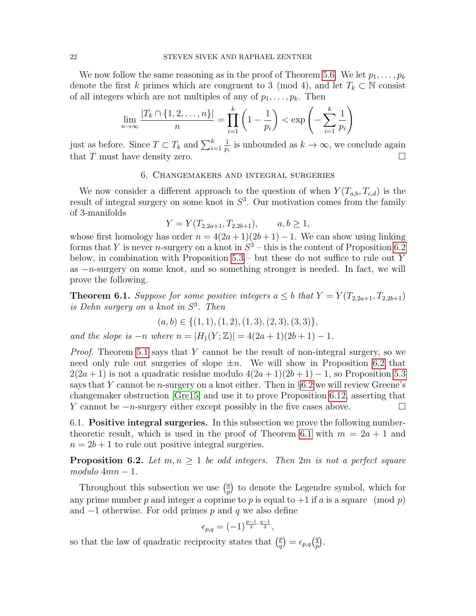We now follow the same reasoning as in the proof of Theorem [5.6.](#page-19-0) We let  $p_1, \ldots, p_k$ denote the first k primes which are congruent to 3 (mod 4), and let  $T_k \subset \mathbb{N}$  consist of all integers which are not multiples of any of  $p_1, \ldots, p_k$ . Then

$$
\lim_{n \to \infty} \frac{|T_k \cap \{1, 2, \dots, n\}|}{n} = \prod_{i=1}^k \left(1 - \frac{1}{p_i}\right) < \exp\left(-\sum_{i=1}^k \frac{1}{p_i}\right)
$$

just as before. Since  $T \subset T_k$  and  $\sum_{i=1}^k$ 1  $\frac{1}{p_i}$  is unbounded as  $k \to \infty$ , we conclude again that T must have density zero.  $\Box$ 

## 6. Changemakers and integral surgeries

<span id="page-21-1"></span>We now consider a different approach to the question of when  $Y(T_{a,b}, T_{c,d})$  is the result of integral surgery on some knot in  $S<sup>3</sup>$ . Our motivation comes from the family of 3-manifolds

$$
Y = Y(T_{2,2a+1}, T_{2,2b+1}), \qquad a, b \ge 1,
$$

whose first homology has order  $n = 4(2a+1)(2b+1) - 1$ . We can show using linking forms that Y is never *n*-surgery on a knot in  $S^3$  – this is the content of Proposition [6.2](#page-21-2) below, in combination with Proposition  $5.3$  – but these do not suffice to rule out Y as −n-surgery on some knot, and so something stronger is needed. In fact, we will prove the following.

<span id="page-21-0"></span>**Theorem 6.1.** Suppose for some positive integers  $a \leq b$  that  $Y = Y(T_{2,2a+1}, T_{2,2b+1})$ is Dehn surgery on a knot in S 3 . Then

$$
(a, b) \in \{(1, 1), (1, 2), (1, 3), (2, 3), (3, 3)\},\
$$

and the slope is  $-n$  where  $n = |H_1(Y;\mathbb{Z})| = 4(2a+1)(2b+1) - 1$ .

*Proof.* Theorem [5.1](#page-17-0) says that Y cannot be the result of non-integral surgery, so we need only rule out surgeries of slope  $\pm n$ . We will show in Proposition [6.2](#page-21-2) that  $2(2a+1)$  is not a quadratic residue modulo  $4(2a+1)(2b+1) - 1$ , so Proposition [5.3](#page-18-0) says that Y cannot be *n*-surgery on a knot either. Then in  $\S6.2$  $\S6.2$  we will review Greene's changemaker obstruction [\[Gre15\]](#page-28-3) and use it to prove Proposition [6.12,](#page-27-0) asserting that Y cannot be  $-n$ -surgery either except possibly in the five cases above.  $□$ 

6.1. Positive integral surgeries. In this subsection we prove the following number-theoretic result, which is used in the proof of Theorem [6.1](#page-21-0) with  $m = 2a + 1$  and  $n = 2b + 1$  to rule out positive integral surgeries.

<span id="page-21-2"></span>**Proposition 6.2.** Let  $m, n \geq 1$  be odd integers. Then 2m is not a perfect square  $modulo 4mn-1.$ 

Throughout this subsection we use  $\left(\frac{a}{n}\right)$  $\frac{a}{p}$  to denote the Legendre symbol, which for any prime number p and integer a coprime to p is equal to  $+1$  if a is a square (mod p) and  $-1$  otherwise. For odd primes p and q we also define

$$
\epsilon_{p,q}=(-1)^{\frac{p-1}{2}\cdot\frac{q-1}{2}},
$$

so that the law of quadratic reciprocity states that  $\left(\frac{p}{q}\right)$  $\left(\frac{p}{q}\right) = \epsilon_{p,q} \left(\frac{q}{p}\right)$  $\frac{q}{p}$ .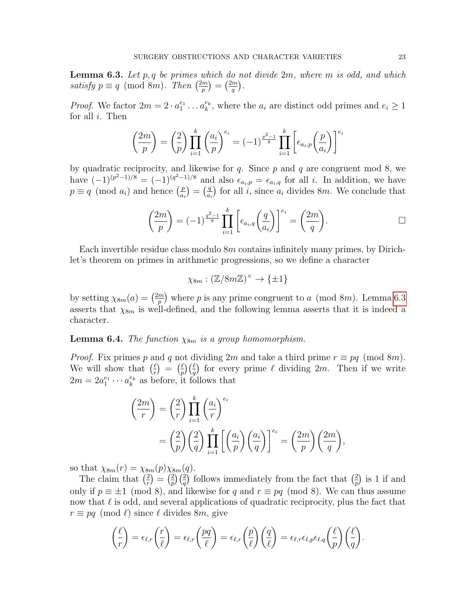<span id="page-22-0"></span>**Lemma 6.3.** Let p, q be primes which do not divide  $2m$ , where m is odd, and which satisfy  $p \equiv q \pmod{8m}$ . Then  $\left(\frac{2m}{p}\right)$  $\binom{2m}{p}=\left(\frac{2m}{q}\right)$  $\frac{m}{q}$ .

*Proof.* We factor  $2m = 2 \cdot a_1^{e_1} \dots a_k^{e_k}$ , where the  $a_i$  are distinct odd primes and  $e_i \geq 1$ for all  $i$ . Then

$$
\left(\frac{2m}{p}\right) = \left(\frac{2}{p}\right) \prod_{i=1}^{k} \left(\frac{a_i}{p}\right)^{e_i} = (-1)^{\frac{p^2-1}{8}} \prod_{i=1}^{k} \left[\epsilon_{a_i, p}\left(\frac{p}{a_i}\right)\right]^{e_i}
$$

by quadratic reciprocity, and likewise for  $q$ . Since  $p$  and  $q$  are congruent mod 8, we have  $(-1)^{(p^2-1)/8} = (-1)^{(q^2-1)/8}$  and also  $\epsilon_{a_i,p} = \epsilon_{a_i,q}$  for all *i*. In addition, we have  $p \equiv q \pmod{a_i}$  and hence  $\left(\frac{p}{q}\right)$  $\left(\frac{p}{a_i}\right) = \left(\frac{q}{a_i}\right)$  $\frac{q}{a_i}$  for all *i*, since  $a_i$  divides 8*m*. We conclude that

$$
\left(\frac{2m}{p}\right) = (-1)^{\frac{q^2-1}{8}} \prod_{i=1}^k \left[\epsilon_{a_i,q}\left(\frac{q}{a_i}\right)\right]^{e_i} = \left(\frac{2m}{q}\right).
$$

Each invertible residue class modulo  $8m$  contains infinitely many primes, by Dirichlet's theorem on primes in arithmetic progressions, so we define a character

$$
\chi_{8m} : (\mathbb{Z}/8m\mathbb{Z})^{\times} \to \{\pm 1\}
$$

by setting  $\chi_{8m}(a) = \left(\frac{2m}{n}\right)$  $\binom{m}{p}$  where p is any prime congruent to a (mod 8m). Lemma [6.3](#page-22-0) asserts that  $\chi_{8m}$  is well-defined, and the following lemma asserts that it is indeed a character.

**Lemma 6.4.** The function  $\chi_{8m}$  is a group homomorphism.

*Proof.* Fix primes p and q not dividing 2m and take a third prime  $r \equiv pq \pmod{8m}$ . We will show that  $\left(\frac{\ell}{r}\right)$  $\left(\frac{\ell}{r}\right)$  =  $\left(\frac{\ell}{p}\right)$  $\frac{\ell}{p}$  ( $\frac{\ell}{q}$ ) for every prime  $\ell$  dividing  $2m$ . Then if we write  $2m = 2a_1^{e_1} \cdots a_k^{e_k}$  as before, it follows that

$$
\begin{aligned}\n\left(\frac{2m}{r}\right) &= \left(\frac{2}{r}\right) \prod_{i=1}^{k} \left(\frac{a_i}{r}\right)^{e_i} \\
&= \left(\frac{2}{p}\right) \left(\frac{2}{q}\right) \prod_{i=1}^{k} \left[\left(\frac{a_i}{p}\right) \left(\frac{a_i}{q}\right)\right]^{e_i} = \left(\frac{2m}{p}\right) \left(\frac{2m}{q}\right),\n\end{aligned}
$$

so that  $\chi_{8m}(r) = \chi_{8m}(p)\chi_{8m}(q)$ .

The claim that  $\left(\frac{2}{r}\right)$  $\binom{2}{r} = \binom{2}{p}$  $\binom{2}{p}\binom{2}{q}$  follows immediately from the fact that  $\binom{2}{p}$  $\binom{2}{p}$  is 1 if and only if  $p \equiv \pm 1 \pmod{8}$ , and likewise for q and  $r \equiv pq \pmod{8}$ . We can thus assume now that  $\ell$  is odd, and several applications of quadratic reciprocity, plus the fact that  $r \equiv pq \pmod{\ell}$  since  $\ell$  divides 8m, give

$$
\left(\frac{\ell}{r}\right) = \epsilon_{\ell,r}\left(\frac{r}{\ell}\right) = \epsilon_{\ell,r}\left(\frac{pq}{\ell}\right) = \epsilon_{\ell,r}\left(\frac{p}{\ell}\right)\left(\frac{q}{\ell}\right) = \epsilon_{\ell,r}\epsilon_{\ell,p}\epsilon_{\ell,q}\left(\frac{\ell}{p}\right)\left(\frac{\ell}{q}\right).
$$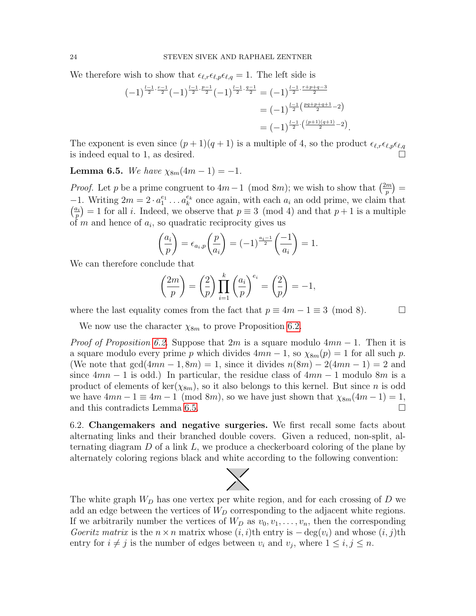We therefore wish to show that  $\epsilon_{\ell,r}\epsilon_{\ell,p}\epsilon_{\ell,q} = 1$ . The left side is

$$
(-1)^{\frac{l-1}{2}\cdot\frac{r-1}{2}}(-1)^{\frac{l-1}{2}\cdot\frac{p-1}{2}}(-1)^{\frac{l-1}{2}\cdot\frac{q-1}{2}} = (-1)^{\frac{l-1}{2}\cdot\frac{r+p+q-3}{2}}
$$

$$
= (-1)^{\frac{l-1}{2}\left(\frac{pq+p+q+1}{2}-2\right)}
$$

$$
= (-1)^{\frac{l-1}{2}\cdot\left(\frac{(p+1)(q+1)}{2}-2\right)}
$$

The exponent is even since  $(p+1)(q+1)$  is a multiple of 4, so the product  $\epsilon_{\ell,r}\epsilon_{\ell,p}\epsilon_{\ell,q}$ is indeed equal to 1, as desired.

.

<span id="page-23-1"></span>**Lemma 6.5.** We have  $\chi_{8m}(4m-1) = -1$ .

*Proof.* Let p be a prime congruent to  $4m-1 \pmod{8m}$ ; we wish to show that  $\left(\frac{2m}{n}\right)$  $\binom{m}{p} =$  $-1$ . Writing  $2m = 2 \cdot a_1^{e_1} \dots a_k^{e_k}$  once again, with each  $a_i$  an odd prime, we claim that  $\left(\frac{a_i}{a}\right)$  $\binom{n_i}{p} = 1$  for all *i*. Indeed, we observe that  $p \equiv 3 \pmod{4}$  and that  $p+1$  is a multiple of  $m$  and hence of  $a_i$ , so quadratic reciprocity gives us

$$
\left(\frac{a_i}{p}\right) = \epsilon_{a_i, p}\left(\frac{p}{a_i}\right) = (-1)^{\frac{a_i - 1}{2}}\left(\frac{-1}{a_i}\right) = 1.
$$

We can therefore conclude that

$$
\left(\frac{2m}{p}\right) = \left(\frac{2}{p}\right) \prod_{i=1}^{k} \left(\frac{a_i}{p}\right)^{e_i} = \left(\frac{2}{p}\right) = -1,
$$

where the last equality comes from the fact that  $p \equiv 4m - 1 \equiv 3 \pmod{8}$ .  $\Box$ 

We now use the character  $\chi_{8m}$  to prove Proposition [6.2.](#page-21-2)

*Proof of Proposition [6.2.](#page-21-2)* Suppose that 2m is a square modulo  $4mn - 1$ . Then it is a square modulo every prime p which divides  $4mn - 1$ , so  $\chi_{8m}(p) = 1$  for all such p. (We note that  $gcd(4mn-1,8m) = 1$ , since it divides  $n(8m) - 2(4mn-1) = 2$  and since  $4mn - 1$  is odd.) In particular, the residue class of  $4mn - 1$  modulo 8m is a product of elements of ker( $\chi_{8m}$ ), so it also belongs to this kernel. But since n is odd we have  $4mn - 1 \equiv 4m - 1 \pmod{8m}$ , so we have just shown that  $\chi_{8m}(4m - 1) = 1$ , and this contradicts Lemma [6.5.](#page-23-1)

<span id="page-23-0"></span>6.2. Changemakers and negative surgeries. We first recall some facts about alternating links and their branched double covers. Given a reduced, non-split, alternating diagram  $D$  of a link  $L$ , we produce a checkerboard coloring of the plane by alternately coloring regions black and white according to the following convention:



The white graph  $W_D$  has one vertex per white region, and for each crossing of  $D$  we add an edge between the vertices of  $W_D$  corresponding to the adjacent white regions. If we arbitrarily number the vertices of  $W_D$  as  $v_0, v_1, \ldots, v_n$ , then the corresponding Goeritz matrix is the  $n \times n$  matrix whose  $(i, i)$ th entry is  $-\deg(v_i)$  and whose  $(i, j)$ th entry for  $i \neq j$  is the number of edges between  $v_i$  and  $v_j$ , where  $1 \leq i, j \leq n$ .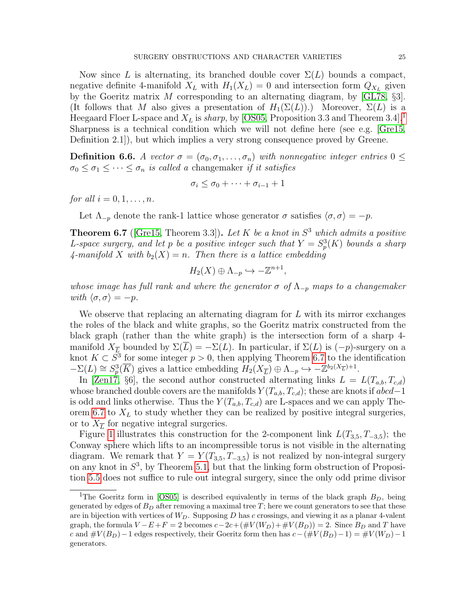Now since L is alternating, its branched double cover  $\Sigma(L)$  bounds a compact, negative definite 4-manifold  $X_L$  with  $H_1(X_L) = 0$  and intersection form  $Q_{X_L}$  given by the Goeritz matrix M corresponding to an alternating diagram, by  $[GL78, \S3]$  $[GL78, \S3]$ . (It follows that M also gives a presentation of  $H_1(\Sigma(L))$ .) Moreover,  $\Sigma(L)$  is a Heegaard Floer L-space and  $X_L$  is sharp, by [\[OS05,](#page-29-3) Proposition 3.3 and Theorem 3.4].<sup>[1](#page-24-0)</sup> Sharpness is a technical condition which we will not define here (see e.g. [\[Gre15,](#page-28-3) Definition 2.1]), but which implies a very strong consequence proved by Greene.

**Definition 6.6.** A vector  $\sigma = (\sigma_0, \sigma_1, \ldots, \sigma_n)$  with nonnegative integer entries  $0 \leq$  $\sigma_0 \leq \sigma_1 \leq \cdots \leq \sigma_n$  is called a changemaker if it satisfies

$$
\sigma_i \leq \sigma_0 + \cdots + \sigma_{i-1} + 1
$$

for all  $i = 0, 1, \ldots, n$ .

Let  $\Lambda_{-p}$  denote the rank-1 lattice whose generator  $\sigma$  satisfies  $\langle \sigma, \sigma \rangle = -p$ .

<span id="page-24-1"></span>**Theorem 6.7** ([\[Gre15,](#page-28-3) Theorem 3.3]). Let K be a knot in  $S<sup>3</sup>$  which admits a positive L-space surgery, and let p be a positive integer such that  $Y = S_p^3(K)$  bounds a sharp  $\text{4-manifold } X \text{ with } b_2(X) = n.$  Then there is a lattice embedding

$$
H_2(X) \oplus \Lambda_{-p} \hookrightarrow -\mathbb{Z}^{n+1},
$$

whose image has full rank and where the generator  $\sigma$  of  $\Lambda_{-p}$  maps to a changemaker with  $\langle \sigma, \sigma \rangle = -p$ .

We observe that replacing an alternating diagram for  $L$  with its mirror exchanges the roles of the black and white graphs, so the Goeritz matrix constructed from the black graph (rather than the white graph) is the intersection form of a sharp 4 manifold  $X_{\overline{L}}$  bounded by  $\Sigma(\overline{L}) = -\Sigma(L)$ . In particular, if  $\Sigma(L)$  is  $(-p)$ -surgery on a knot  $K \subset S^3$  for some integer  $p > 0$ , then applying Theorem [6.7](#page-24-1) to the identification  $-\Sigma(L) \cong S_p^3(\overline{K})$  gives a lattice embedding  $H_2(X_{\overline{L}}) \oplus \Lambda_{-p} \hookrightarrow -\mathbb{Z}^{b_2(X_{\overline{L}})+1}$ .

In [\[Zen17,](#page-29-1) §6], the second author constructed alternating links  $L = L(T_{a,b}, T_{c,d})$ whose branched double covers are the manifolds  $Y(T_{a,b}, T_{c,d})$ ; these are knots if  $abcd-1$ is odd and links otherwise. Thus the  $Y(T_{a,b}, T_{c,d})$  are L-spaces and we can apply The-orem [6.7](#page-24-1) to  $X_L$  to study whether they can be realized by positive integral surgeries, or to  $X_{\overline{L}}$  for negative integral surgeries.

Figure [1](#page-25-0) illustrates this construction for the 2-component link  $L(T_{3,5}, T_{-3,5})$ ; the Conway sphere which lifts to an incompressible torus is not visible in the alternating diagram. We remark that  $Y = Y(T_{3,5}, T_{3,5})$  is not realized by non-integral surgery on any knot in  $S^3$ , by Theorem [5.1,](#page-17-0) but that the linking form obstruction of Proposition [5.5](#page-19-1) does not suffice to rule out integral surgery, since the only odd prime divisor

<span id="page-24-0"></span><sup>&</sup>lt;sup>1</sup>The Goeritz form in [\[OS05\]](#page-29-3) is described equivalently in terms of the black graph  $B_D$ , being generated by edges of  $B<sub>D</sub>$  after removing a maximal tree T; here we count generators to see that these are in bijection with vertices of  $W_D$ . Supposing D has c crossings, and viewing it as a planar 4-valent graph, the formula  $V - E + F = 2$  becomes  $c - 2c + (\#V(W_D) + \#V(B_D)) = 2$ . Since  $B_D$  and T have c and  $\#V(B_D)$  – 1 edges respectively, their Goeritz form then has  $c-(\#V(B_D)-1) = \#V(W_D)-1$ generators.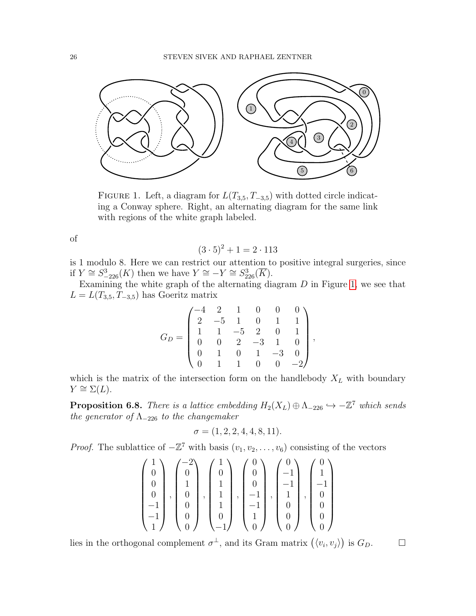

<span id="page-25-0"></span>FIGURE 1. Left, a diagram for  $L(T_{3,5}, T_{-3,5})$  with dotted circle indicating a Conway sphere. Right, an alternating diagram for the same link with regions of the white graph labeled.

of

$$
(3 \cdot 5)^2 + 1 = 2 \cdot 113
$$

is 1 modulo 8. Here we can restrict our attention to positive integral surgeries, since if  $Y \cong S^3_{-226}(K)$  then we have  $Y \cong -Y \cong S^3_{226}(\overline{K}).$ 

Examining the white graph of the alternating diagram  $D$  in Figure [1,](#page-25-0) we see that  $L = L(T_{3,5}, T_{-3,5})$  has Goeritz matrix

$$
G_D = \begin{pmatrix} -4 & 2 & 1 & 0 & 0 & 0 \\ 2 & -5 & 1 & 0 & 1 & 1 \\ 1 & 1 & -5 & 2 & 0 & 1 \\ 0 & 0 & 2 & -3 & 1 & 0 \\ 0 & 1 & 0 & 1 & -3 & 0 \\ 0 & 1 & 1 & 0 & 0 & -2 \end{pmatrix},
$$

which is the matrix of the intersection form on the handlebody  $X_L$  with boundary  $Y \cong \Sigma(L).$ 

<span id="page-25-1"></span>**Proposition 6.8.** There is a lattice embedding  $H_2(X_L) \oplus \Lambda_{-226} \hookrightarrow -\mathbb{Z}^7$  which sends the generator of  $\Lambda_{-226}$  to the changemaker

$$
\sigma = (1, 2, 2, 4, 4, 8, 11).
$$

*Proof.* The sublattice of  $-\mathbb{Z}^7$  with basis  $(v_1, v_2, \ldots, v_6)$  consisting of the vectors

$$
\begin{pmatrix} 1 \\ 0 \\ 0 \\ 0 \\ -1 \\ -1 \\ 1 \end{pmatrix}, \begin{pmatrix} -2 \\ 0 \\ 1 \\ 0 \\ 0 \\ 0 \\ 0 \end{pmatrix}, \begin{pmatrix} 1 \\ 0 \\ 1 \\ 1 \\ 1 \\ 0 \\ -1 \end{pmatrix}, \begin{pmatrix} 0 \\ 0 \\ 0 \\ -1 \\ -1 \\ 1 \\ 0 \end{pmatrix}, \begin{pmatrix} 0 \\ -1 \\ -1 \\ 1 \\ 0 \\ 0 \\ 0 \end{pmatrix}, \begin{pmatrix} 0 \\ 1 \\ -1 \\ 0 \\ 0 \\ 0 \\ 0 \end{pmatrix}
$$

lies in the orthogonal complement  $\sigma^{\perp}$ , and its Gram matrix  $(\langle v_i, v_j \rangle)$  is  $G_D$ .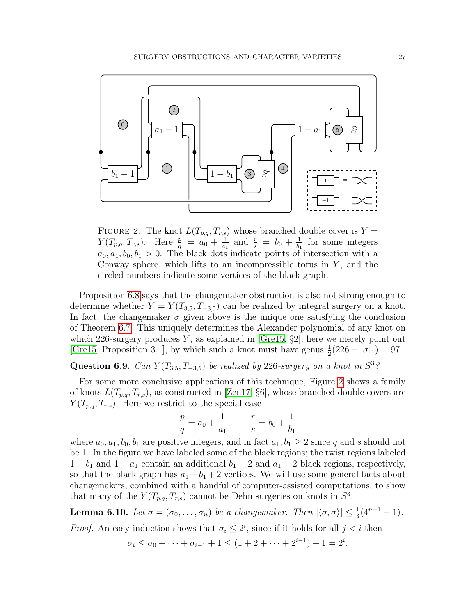

<span id="page-26-0"></span>FIGURE 2. The knot  $L(T_{p,q}, T_{r,s})$  whose branched double cover is  $Y =$  $Y(T_{p,q}, T_{r,s})$ . Here  $\frac{p}{q} = a_0 + \frac{1}{a_1}$  $\frac{1}{a_1}$  and  $\frac{r}{s} = b_0 + \frac{1}{b_1}$  $\frac{1}{b_1}$  for some integers  $a_0, a_1, b_0, b_1 > 0$ . The black dots indicate points of intersection with a Conway sphere, which lifts to an incompressible torus in  $Y$ , and the circled numbers indicate some vertices of the black graph.

Proposition [6.8](#page-25-1) says that the changemaker obstruction is also not strong enough to determine whether  $Y = Y(T_{3,5}, T_{-3,5})$  can be realized by integral surgery on a knot. In fact, the changemaker  $\sigma$  given above is the unique one satisfying the conclusion of Theorem [6.7.](#page-24-1) This uniquely determines the Alexander polynomial of any knot on which 226-surgery produces Y, as explained in [\[Gre15,](#page-28-3)  $\S2$ ]; here we merely point out [\[Gre15,](#page-28-3) Proposition 3.1], by which such a knot must have genus  $\frac{1}{2}(226 - |\sigma|_1) = 97$ .

Question 6.9. Can  $Y(T_{3,5}, T_{-3,5})$  be realized by 226-surgery on a knot in  $S^3$ ?

For some more conclusive applications of this technique, Figure [2](#page-26-0) shows a family of knots  $L(T_{p,q}, T_{r,s})$ , as constructed in [\[Zen17,](#page-29-1) §6], whose branched double covers are  $Y(T_{p,q}, T_{r,s})$ . Here we restrict to the special case

$$
\frac{p}{q} = a_0 + \frac{1}{a_1}, \qquad \frac{r}{s} = b_0 + \frac{1}{b_1}
$$

where  $a_0, a_1, b_0, b_1$  are positive integers, and in fact  $a_1, b_1 \geq 2$  since q and s should not be 1. In the figure we have labeled some of the black regions; the twist regions labeled  $1 - b_1$  and  $1 - a_1$  contain an additional  $b_1 - 2$  and  $a_1 - 2$  black regions, respectively, so that the black graph has  $a_1 + b_1 + 2$  vertices. We will use some general facts about changemakers, combined with a handful of computer-assisted computations, to show that many of the  $Y(T_{p,q}, T_{r,s})$  cannot be Dehn surgeries on knots in  $S^3$ .

<span id="page-26-1"></span>**Lemma 6.10.** Let  $\sigma = (\sigma_0, \ldots, \sigma_n)$  be a changemaker. Then  $|\langle \sigma, \sigma \rangle| \leq \frac{1}{3}(4^{n+1} - 1)$ .

*Proof.* An easy induction shows that  $\sigma_i \leq 2^i$ , since if it holds for all  $j < i$  then

$$
\sigma_i \le \sigma_0 + \dots + \sigma_{i-1} + 1 \le (1 + 2 + \dots + 2^{i-1}) + 1 = 2^i.
$$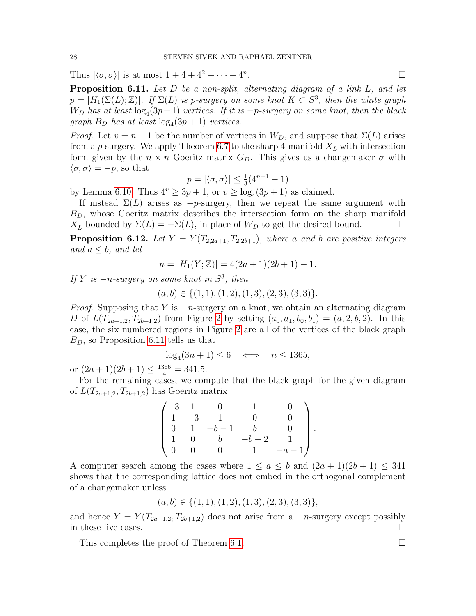Thus  $|\langle \sigma, \sigma \rangle|$  is at most  $1 + 4 + 4^2 + \cdots + 4^n$ . .

<span id="page-27-1"></span>**Proposition 6.11.** Let D be a non-split, alternating diagram of a link L, and let  $p = |H_1(\Sigma(L); \mathbb{Z})|$ . If  $\Sigma(L)$  is p-surgery on some knot  $K \subset S^3$ , then the white graph  $W_D$  has at least  $log_4(3p+1)$  vertices. If it is  $-p$ -surgery on some knot, then the black graph  $B_D$  has at least  $log_4(3p+1)$  vertices.

*Proof.* Let  $v = n + 1$  be the number of vertices in  $W_D$ , and suppose that  $\Sigma(L)$  arises from a p-surgery. We apply Theorem [6.7](#page-24-1) to the sharp 4-manifold  $X_L$  with intersection form given by the  $n \times n$  Goeritz matrix  $G_D$ . This gives us a changemaker  $\sigma$  with  $\langle \sigma, \sigma \rangle = -p$ , so that

$$
p = |\langle \sigma, \sigma \rangle| \le \frac{1}{3} (4^{n+1} - 1)
$$

by Lemma [6.10.](#page-26-1) Thus  $4^v \ge 3p + 1$ , or  $v \ge \log_4(3p + 1)$  as claimed.

If instead  $\Sigma(L)$  arises as  $-p$ -surgery, then we repeat the same argument with  $B<sub>D</sub>$ , whose Goeritz matrix describes the intersection form on the sharp manifold  $X_{\overline{L}}$  bounded by  $\Sigma(L) = -\Sigma(L)$ , in place of  $W_D$  to get the desired bound.

<span id="page-27-0"></span>**Proposition 6.12.** Let  $Y = Y(T_{2,2a+1}, T_{2,2b+1})$ , where a and b are positive integers and  $a \leq b$ , and let

$$
n = |H_1(Y; \mathbb{Z})| = 4(2a+1)(2b+1) - 1.
$$

If Y is  $-n$ -surgery on some knot in  $S^3$ , then

 $(a, b) \in \{(1, 1), (1, 2), (1, 3), (2, 3), (3, 3)\}.$ 

*Proof.* Supposing that Y is  $-n$ -surgery on a knot, we obtain an alternating diagram D of  $L(T_{2a+1,2}, T_{2b+1,2})$  from Figure [2](#page-26-0) by setting  $(a_0, a_1, b_0, b_1) = (a, 2, b, 2)$ . In this case, the six numbered regions in Figure [2](#page-26-0) are all of the vertices of the black graph  $B<sub>D</sub>$ , so Proposition [6.11](#page-27-1) tells us that

$$
\log_4(3n+1) \le 6 \iff n \le 1365,
$$

or  $(2a+1)(2b+1) \le \frac{1366}{4} = 341.5$ .

For the remaining cases, we compute that the black graph for the given diagram of  $L(T_{2a+1,2}, T_{2b+1,2})$  has Goeritz matrix

$$
\begin{pmatrix}\n-3 & 1 & 0 & 1 & 0 \\
1 & -3 & 1 & 0 & 0 \\
0 & 1 & -b-1 & b & 0 \\
1 & 0 & b & -b-2 & 1 \\
0 & 0 & 0 & 1 & -a-1\n\end{pmatrix}.
$$

A computer search among the cases where  $1 \le a \le b$  and  $(2a+1)(2b+1) \le 341$ shows that the corresponding lattice does not embed in the orthogonal complement of a changemaker unless

$$
(a, b) \in \{(1, 1), (1, 2), (1, 3), (2, 3), (3, 3)\},\
$$

and hence  $Y = Y(T_{2a+1,2}, T_{2b+1,2})$  does not arise from a  $-n$ -surgery except possibly in these five cases.  $\Box$ 

This completes the proof of Theorem [6.1.](#page-21-0)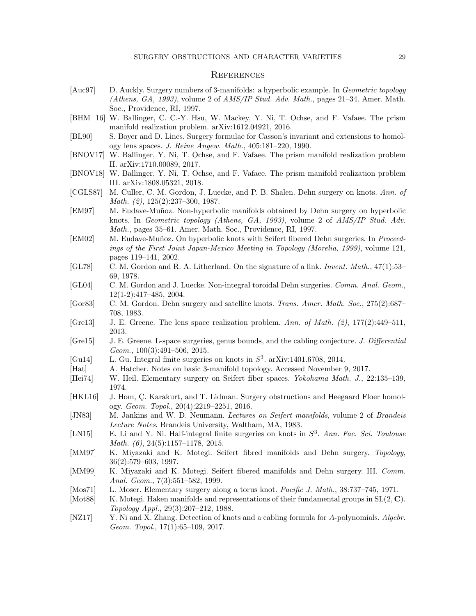#### **REFERENCES**

- <span id="page-28-1"></span>[Auc97] D. Auckly. Surgery numbers of 3-manifolds: a hyperbolic example. In *Geometric topology* (Athens, GA, 1993), volume 2 of AMS/IP Stud. Adv. Math., pages 21–34. Amer. Math. Soc., Providence, RI, 1997.
- <span id="page-28-7"></span>[BHM+16] W. Ballinger, C. C.-Y. Hsu, W. Mackey, Y. Ni, T. Ochse, and F. Vafaee. The prism manifold realization problem. arXiv:1612.04921, 2016.
- <span id="page-28-0"></span>[BL90] S. Boyer and D. Lines. Surgery formulae for Casson's invariant and extensions to homology lens spaces. J. Reine Angew. Math., 405:181–220, 1990.
- <span id="page-28-8"></span>[BNOV17] W. Ballinger, Y. Ni, T. Ochse, and F. Vafaee. The prism manifold realization problem II. arXiv:1710.00089, 2017.
- <span id="page-28-9"></span>[BNOV18] W. Ballinger, Y. Ni, T. Ochse, and F. Vafaee. The prism manifold realization problem III. arXiv:1808.05321, 2018.
- <span id="page-28-22"></span>[CGLS87] M. Culler, C. M. Gordon, J. Luecke, and P. B. Shalen. Dehn surgery on knots. Ann. of Math. (2), 125(2):237–300, 1987.
- <span id="page-28-11"></span>[EM97] M. Eudave-Muñoz. Non-hyperbolic manifolds obtained by Dehn surgery on hyperbolic knots. In Geometric topology (Athens, GA, 1993), volume 2 of AMS/IP Stud. Adv. Math., pages 35–61. Amer. Math. Soc., Providence, RI, 1997.
- <span id="page-28-14"></span>[EM02] M. Eudave-Muñoz. On hyperbolic knots with Seifert fibered Dehn surgeries. In Proceedings of the First Joint Japan-Mexico Meeting in Topology (Morelia, 1999), volume 121, pages 119–141, 2002.
- <span id="page-28-23"></span>[GL78] C. M. Gordon and R. A. Litherland. On the signature of a link. Invent. Math., 47(1):53– 69, 1978.
- <span id="page-28-10"></span>[GL04] C. M. Gordon and J. Luecke. Non-integral toroidal Dehn surgeries. Comm. Anal. Geom., 12(1-2):417–485, 2004.
- <span id="page-28-20"></span>[Gor83] C. M. Gordon. Dehn surgery and satellite knots. Trans. Amer. Math. Soc., 275(2):687– 708, 1983.
- <span id="page-28-4"></span>[Gre $13$ ] J. E. Greene. The lens space realization problem. Ann. of Math. (2), 177(2):449–511, 2013.
- <span id="page-28-3"></span>[Gre15] J. E. Greene. L-space surgeries, genus bounds, and the cabling conjecture. J. Differential Geom., 100(3):491–506, 2015.
- <span id="page-28-6"></span>[Gu14] L. Gu. Integral finite surgeries on knots in  $S^3$ . arXiv:1401.6708, 2014.
- <span id="page-28-16"></span>[Hat] A. Hatcher. Notes on basic 3-manifold topology. Accessed November 9, 2017.
- <span id="page-28-17"></span>[Hei74] W. Heil. Elementary surgery on Seifert fiber spaces. Yokohama Math. J., 22:135–139, 1974.
- <span id="page-28-2"></span>[HKL16] J. Hom, Ç. Karakurt, and T. Lidman. Surgery obstructions and Heegaard Floer homology. Geom. Topol., 20(4):2219–2251, 2016.
- <span id="page-28-18"></span>[JN83] M. Jankins and W. D. Neumann. Lectures on Seifert manifolds, volume 2 of Brandeis Lecture Notes. Brandeis University, Waltham, MA, 1983.
- <span id="page-28-5"></span>[LN15] E. Li and Y. Ni. Half-integral finite surgeries on knots in  $S^3$ . Ann. Fac. Sci. Toulouse Math. (6), 24(5):1157–1178, 2015.
- <span id="page-28-19"></span>[MM97] K. Miyazaki and K. Motegi. Seifert fibred manifolds and Dehn surgery. Topology, 36(2):579–603, 1997.
- <span id="page-28-21"></span>[MM99] K. Miyazaki and K. Motegi. Seifert fibered manifolds and Dehn surgery. III. Comm. Anal. Geom., 7(3):551–582, 1999.
- <span id="page-28-15"></span>[Mos71] L. Moser. Elementary surgery along a torus knot. Pacific J. Math., 38:737–745, 1971.
- <span id="page-28-13"></span>[Mot88] K. Motegi. Haken manifolds and representations of their fundamental groups in  $SL(2, \mathbb{C})$ . Topology Appl., 29(3):207–212, 1988.
- <span id="page-28-12"></span>[NZ17] Y. Ni and X. Zhang. Detection of knots and a cabling formula for A-polynomials. Algebr. Geom. Topol., 17(1):65–109, 2017.